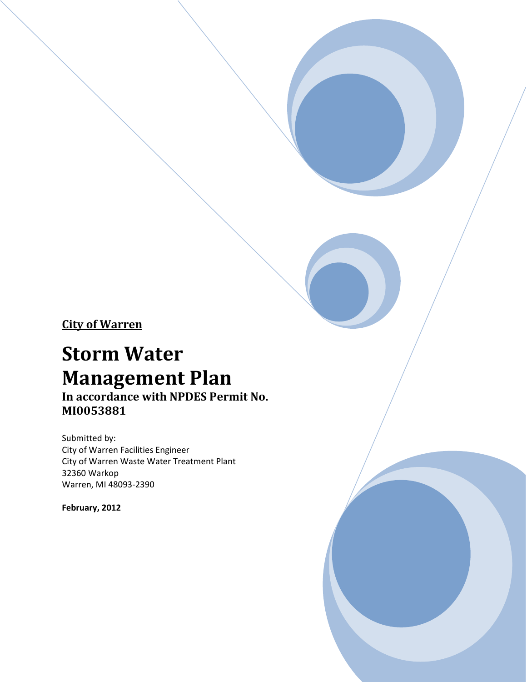City of Warren

# Storm Water Management Plan

In accordance with NPDES Permit No. MI0053881

Submitted by: City of Warren Facilities Engineer City of Warren Waste Water Treatment Plant 32360 Warkop Warren, MI 48093-2390

February, 2012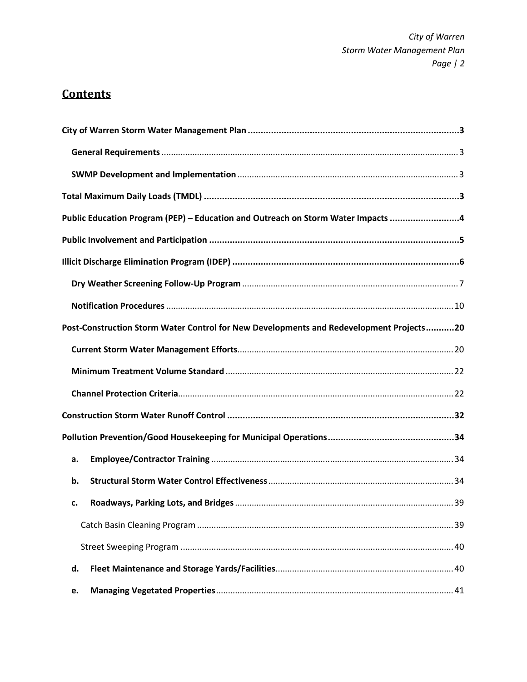# **Contents**

|    | Public Education Program (PEP) - Education and Outreach on Storm Water Impacts 4        |
|----|-----------------------------------------------------------------------------------------|
|    |                                                                                         |
|    |                                                                                         |
|    |                                                                                         |
|    |                                                                                         |
|    | Post-Construction Storm Water Control for New Developments and Redevelopment Projects20 |
|    |                                                                                         |
|    |                                                                                         |
|    |                                                                                         |
|    |                                                                                         |
|    |                                                                                         |
| a. |                                                                                         |
| b. |                                                                                         |
| c. |                                                                                         |
|    |                                                                                         |
|    |                                                                                         |
| d. |                                                                                         |
| e. |                                                                                         |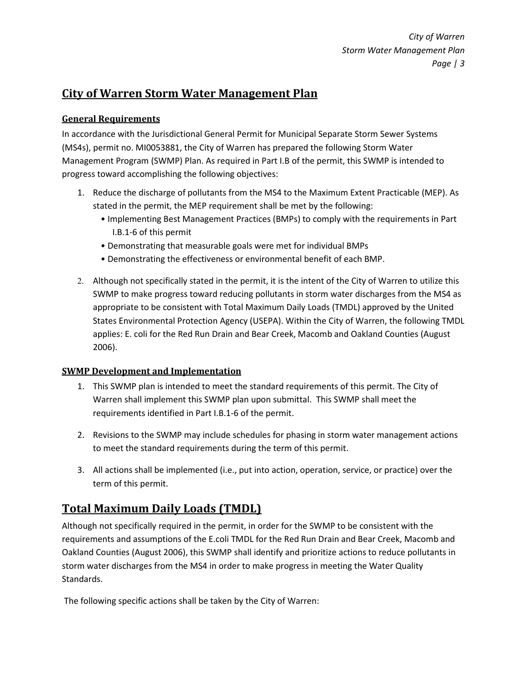### General Requirements

In accordance with the Jurisdictional General Permit for Municipal Separate Storm Sewer Systems (MS4s), permit no. MI0053881, the City of Warren has prepared the following Storm Water Management Program (SWMP) Plan. As required in Part I.B of the permit, this SWMP is intended to progress toward accomplishing the following objectives:

- 1. Reduce the discharge of pollutants from the MS4 to the Maximum Extent Practicable (MEP). As stated in the permit, the MEP requirement shall be met by the following:
	- Implementing Best Management Practices (BMPs) to comply with the requirements in Part I.B.1-6 of this permit
	- Demonstrating that measurable goals were met for individual BMPs
	- Demonstrating the effectiveness or environmental benefit of each BMP.
- 2. Although not specifically stated in the permit, it is the intent of the City of Warren to utilize this SWMP to make progress toward reducing pollutants in storm water discharges from the MS4 as appropriate to be consistent with Total Maximum Daily Loads (TMDL) approved by the United States Environmental Protection Agency (USEPA). Within the City of Warren, the following TMDL applies: E. coli for the Red Run Drain and Bear Creek, Macomb and Oakland Counties (August 2006).

### SWMP Development and Implementation

- 1. This SWMP plan is intended to meet the standard requirements of this permit. The City of Warren shall implement this SWMP plan upon submittal. This SWMP shall meet the requirements identified in Part I.B.1-6 of the permit.
- 2. Revisions to the SWMP may include schedules for phasing in storm water management actions to meet the standard requirements during the term of this permit.
- 3. All actions shall be implemented (i.e., put into action, operation, service, or practice) over the term of this permit.

# Total Maximum Daily Loads (TMDL)

Although not specifically required in the permit, in order for the SWMP to be consistent with the requirements and assumptions of the E.coli TMDL for the Red Run Drain and Bear Creek, Macomb and Oakland Counties (August 2006), this SWMP shall identify and prioritize actions to reduce pollutants in storm water discharges from the MS4 in order to make progress in meeting the Water Quality Standards.

The following specific actions shall be taken by the City of Warren: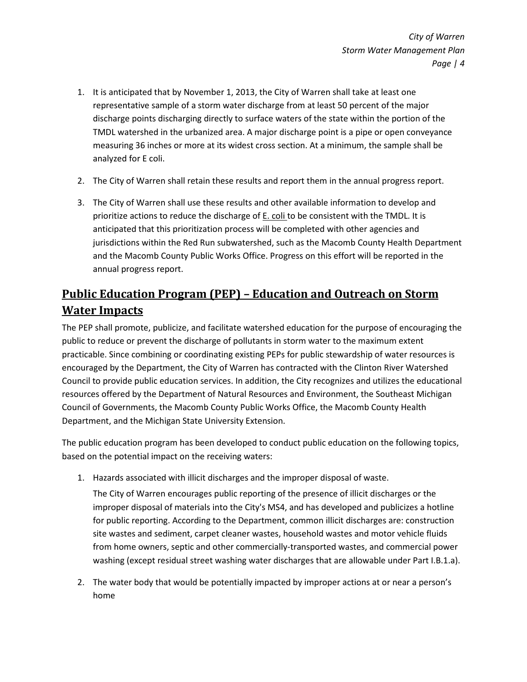- 1. It is anticipated that by November 1, 2013, the City of Warren shall take at least one representative sample of a storm water discharge from at least 50 percent of the major discharge points discharging directly to surface waters of the state within the portion of the TMDL watershed in the urbanized area. A major discharge point is a pipe or open conveyance measuring 36 inches or more at its widest cross section. At a minimum, the sample shall be analyzed for E coli.
- 2. The City of Warren shall retain these results and report them in the annual progress report.
- 3. The City of Warren shall use these results and other available information to develop and prioritize actions to reduce the discharge of **E.** coli to be consistent with the TMDL. It is anticipated that this prioritization process will be completed with other agencies and jurisdictions within the Red Run subwatershed, such as the Macomb County Health Department and the Macomb County Public Works Office. Progress on this effort will be reported in the annual progress report.

# Public Education Program (PEP) – Education and Outreach on Storm Water Impacts

The PEP shall promote, publicize, and facilitate watershed education for the purpose of encouraging the public to reduce or prevent the discharge of pollutants in storm water to the maximum extent practicable. Since combining or coordinating existing PEPs for public stewardship of water resources is encouraged by the Department, the City of Warren has contracted with the Clinton River Watershed Council to provide public education services. In addition, the City recognizes and utilizes the educational resources offered by the Department of Natural Resources and Environment, the Southeast Michigan Council of Governments, the Macomb County Public Works Office, the Macomb County Health Department, and the Michigan State University Extension.

The public education program has been developed to conduct public education on the following topics, based on the potential impact on the receiving waters:

1. Hazards associated with illicit discharges and the improper disposal of waste.

The City of Warren encourages public reporting of the presence of illicit discharges or the improper disposal of materials into the City's MS4, and has developed and publicizes a hotline for public reporting. According to the Department, common illicit discharges are: construction site wastes and sediment, carpet cleaner wastes, household wastes and motor vehicle fluids from home owners, septic and other commercially-transported wastes, and commercial power washing (except residual street washing water discharges that are allowable under Part I.B.1.a).

2. The water body that would be potentially impacted by improper actions at or near a person's home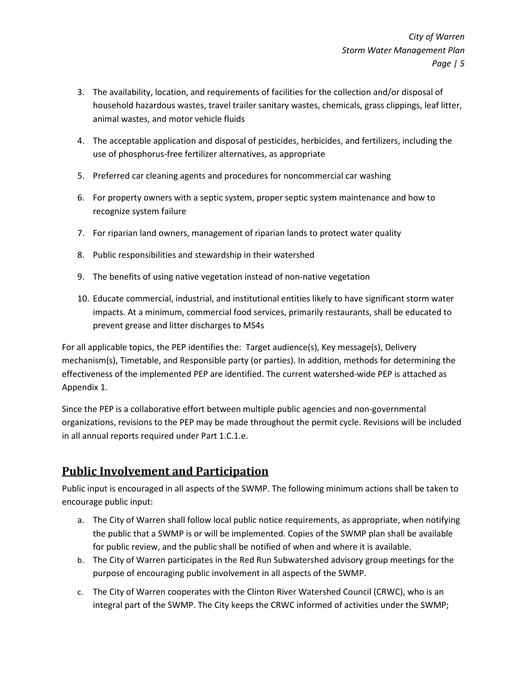- 3. The availability, location, and requirements of facilities for the collection and/or disposal of household hazardous wastes, travel trailer sanitary wastes, chemicals, grass clippings, leaf litter, animal wastes, and motor vehicle fluids
- 4. The acceptable application and disposal of pesticides, herbicides, and fertilizers, including the use of phosphorus-free fertilizer alternatives, as appropriate
- 5. Preferred car cleaning agents and procedures for noncommercial car washing
- 6. For property owners with a septic system, proper septic system maintenance and how to recognize system failure
- 7. For riparian land owners, management of riparian lands to protect water quality
- 8. Public responsibilities and stewardship in their watershed
- 9. The benefits of using native vegetation instead of non-native vegetation
- 10. Educate commercial, industrial, and institutional entities likely to have significant storm water impacts. At a minimum, commercial food services, primarily restaurants, shall be educated to prevent grease and litter discharges to MS4s

For all applicable topics, the PEP identifies the: Target audience(s), Key message(s), Delivery mechanism(s), Timetable, and Responsible party (or parties). In addition, methods for determining the effectiveness of the implemented PEP are identified. The current watershed-wide PEP is attached as Appendix 1.

Since the PEP is a collaborative effort between multiple public agencies and non-governmental organizations, revisions to the PEP may be made throughout the permit cycle. Revisions will be included in all annual reports required under Part 1.C.1.e.

# Public Involvement and Participation

Public input is encouraged in all aspects of the SWMP. The following minimum actions shall be taken to encourage public input:

- a. The City of Warren shall follow local public notice requirements, as appropriate, when notifying the public that a SWMP is or will be implemented. Copies of the SWMP plan shall be available for public review, and the public shall be notified of when and where it is available.
- b. The City of Warren participates in the Red Run Subwatershed advisory group meetings for the purpose of encouraging public involvement in all aspects of the SWMP.
- c. The City of Warren cooperates with the Clinton River Watershed Council (CRWC), who is an integral part of the SWMP. The City keeps the CRWC informed of activities under the SWMP;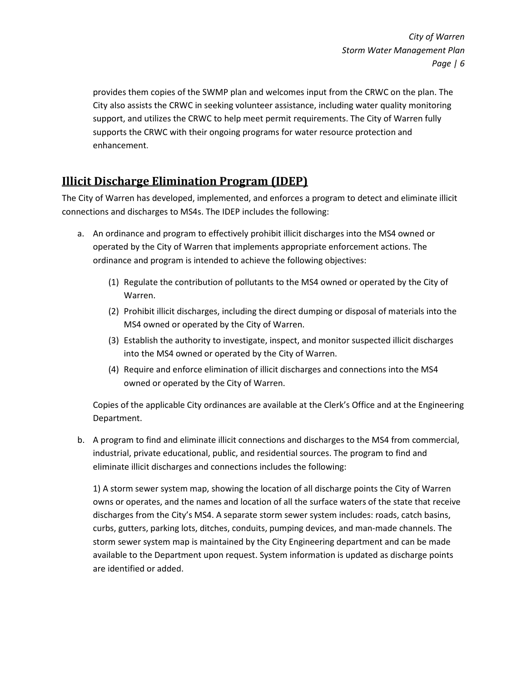provides them copies of the SWMP plan and welcomes input from the CRWC on the plan. The City also assists the CRWC in seeking volunteer assistance, including water quality monitoring support, and utilizes the CRWC to help meet permit requirements. The City of Warren fully supports the CRWC with their ongoing programs for water resource protection and enhancement.

# Illicit Discharge Elimination Program (IDEP)

The City of Warren has developed, implemented, and enforces a program to detect and eliminate illicit connections and discharges to MS4s. The IDEP includes the following:

- a. An ordinance and program to effectively prohibit illicit discharges into the MS4 owned or operated by the City of Warren that implements appropriate enforcement actions. The ordinance and program is intended to achieve the following objectives:
	- (1) Regulate the contribution of pollutants to the MS4 owned or operated by the City of Warren.
	- (2) Prohibit illicit discharges, including the direct dumping or disposal of materials into the MS4 owned or operated by the City of Warren.
	- (3) Establish the authority to investigate, inspect, and monitor suspected illicit discharges into the MS4 owned or operated by the City of Warren.
	- (4) Require and enforce elimination of illicit discharges and connections into the MS4 owned or operated by the City of Warren.

Copies of the applicable City ordinances are available at the Clerk's Office and at the Engineering Department.

b. A program to find and eliminate illicit connections and discharges to the MS4 from commercial, industrial, private educational, public, and residential sources. The program to find and eliminate illicit discharges and connections includes the following:

1) A storm sewer system map, showing the location of all discharge points the City of Warren owns or operates, and the names and location of all the surface waters of the state that receive discharges from the City's MS4. A separate storm sewer system includes: roads, catch basins, curbs, gutters, parking lots, ditches, conduits, pumping devices, and man-made channels. The storm sewer system map is maintained by the City Engineering department and can be made available to the Department upon request. System information is updated as discharge points are identified or added.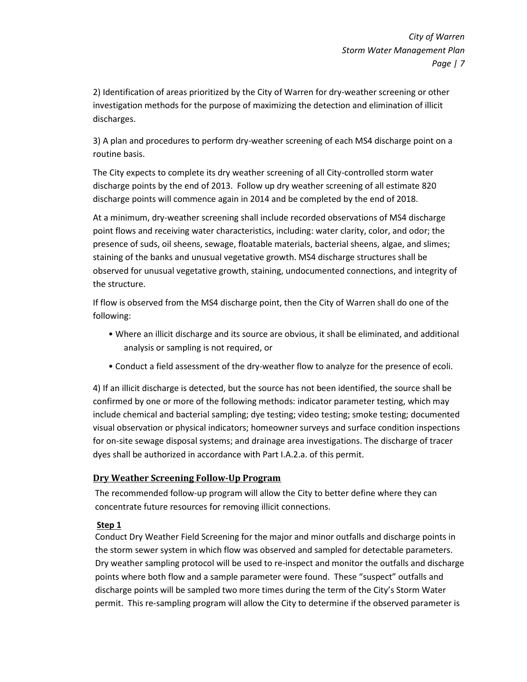2) Identification of areas prioritized by the City of Warren for dry-weather screening or other investigation methods for the purpose of maximizing the detection and elimination of illicit discharges.

3) A plan and procedures to perform dry-weather screening of each MS4 discharge point on a routine basis.

The City expects to complete its dry weather screening of all City-controlled storm water discharge points by the end of 2013. Follow up dry weather screening of all estimate 820 discharge points will commence again in 2014 and be completed by the end of 2018.

At a minimum, dry-weather screening shall include recorded observations of MS4 discharge point flows and receiving water characteristics, including: water clarity, color, and odor; the presence of suds, oil sheens, sewage, floatable materials, bacterial sheens, algae, and slimes; staining of the banks and unusual vegetative growth. MS4 discharge structures shall be observed for unusual vegetative growth, staining, undocumented connections, and integrity of the structure.

If flow is observed from the MS4 discharge point, then the City of Warren shall do one of the following:

- Where an illicit discharge and its source are obvious, it shall be eliminated, and additional analysis or sampling is not required, or
- Conduct a field assessment of the dry-weather flow to analyze for the presence of ecoli.

4) If an illicit discharge is detected, but the source has not been identified, the source shall be confirmed by one or more of the following methods: indicator parameter testing, which may include chemical and bacterial sampling; dye testing; video testing; smoke testing; documented visual observation or physical indicators; homeowner surveys and surface condition inspections for on-site sewage disposal systems; and drainage area investigations. The discharge of tracer dyes shall be authorized in accordance with Part I.A.2.a. of this permit.

### Dry Weather Screening Follow-Up Program

The recommended follow-up program will allow the City to better define where they can concentrate future resources for removing illicit connections.

### Step 1

Conduct Dry Weather Field Screening for the major and minor outfalls and discharge points in the storm sewer system in which flow was observed and sampled for detectable parameters. Dry weather sampling protocol will be used to re-inspect and monitor the outfalls and discharge points where both flow and a sample parameter were found. These "suspect" outfalls and discharge points will be sampled two more times during the term of the City's Storm Water permit. This re-sampling program will allow the City to determine if the observed parameter is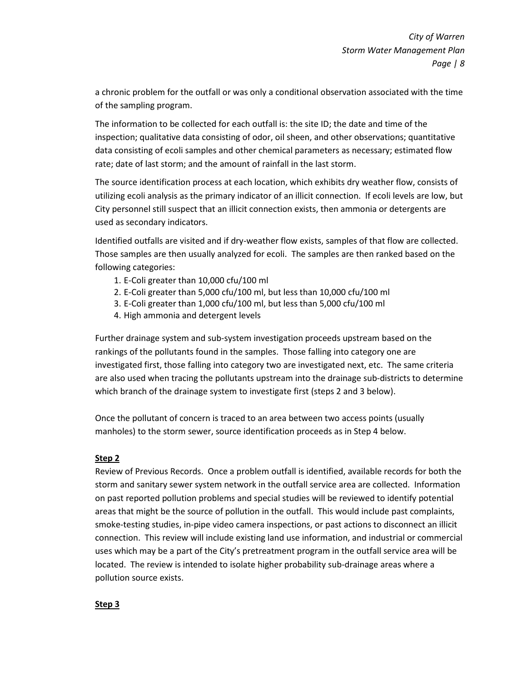a chronic problem for the outfall or was only a conditional observation associated with the time of the sampling program.

The information to be collected for each outfall is: the site ID; the date and time of the inspection; qualitative data consisting of odor, oil sheen, and other observations; quantitative data consisting of ecoli samples and other chemical parameters as necessary; estimated flow rate; date of last storm; and the amount of rainfall in the last storm.

The source identification process at each location, which exhibits dry weather flow, consists of utilizing ecoli analysis as the primary indicator of an illicit connection. If ecoli levels are low, but City personnel still suspect that an illicit connection exists, then ammonia or detergents are used as secondary indicators.

Identified outfalls are visited and if dry-weather flow exists, samples of that flow are collected. Those samples are then usually analyzed for ecoli. The samples are then ranked based on the following categories:

- 1. E-Coli greater than 10,000 cfu/100 ml
- 2. E-Coli greater than 5,000 cfu/100 ml, but less than 10,000 cfu/100 ml
- 3. E-Coli greater than 1,000 cfu/100 ml, but less than 5,000 cfu/100 ml
- 4. High ammonia and detergent levels

Further drainage system and sub-system investigation proceeds upstream based on the rankings of the pollutants found in the samples. Those falling into category one are investigated first, those falling into category two are investigated next, etc. The same criteria are also used when tracing the pollutants upstream into the drainage sub-districts to determine which branch of the drainage system to investigate first (steps 2 and 3 below).

Once the pollutant of concern is traced to an area between two access points (usually manholes) to the storm sewer, source identification proceeds as in Step 4 below.

### Step 2

Review of Previous Records. Once a problem outfall is identified, available records for both the storm and sanitary sewer system network in the outfall service area are collected. Information on past reported pollution problems and special studies will be reviewed to identify potential areas that might be the source of pollution in the outfall. This would include past complaints, smoke-testing studies, in-pipe video camera inspections, or past actions to disconnect an illicit connection. This review will include existing land use information, and industrial or commercial uses which may be a part of the City's pretreatment program in the outfall service area will be located. The review is intended to isolate higher probability sub-drainage areas where a pollution source exists.

Step 3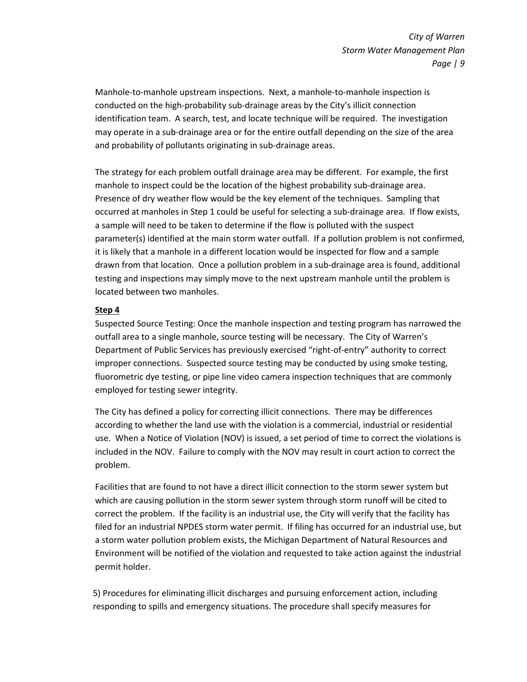Manhole-to-manhole upstream inspections. Next, a manhole-to-manhole inspection is conducted on the high-probability sub-drainage areas by the City's illicit connection identification team. A search, test, and locate technique will be required. The investigation may operate in a sub-drainage area or for the entire outfall depending on the size of the area and probability of pollutants originating in sub-drainage areas.

The strategy for each problem outfall drainage area may be different. For example, the first manhole to inspect could be the location of the highest probability sub-drainage area. Presence of dry weather flow would be the key element of the techniques. Sampling that occurred at manholes in Step 1 could be useful for selecting a sub-drainage area. If flow exists, a sample will need to be taken to determine if the flow is polluted with the suspect parameter(s) identified at the main storm water outfall. If a pollution problem is not confirmed, it is likely that a manhole in a different location would be inspected for flow and a sample drawn from that location. Once a pollution problem in a sub-drainage area is found, additional testing and inspections may simply move to the next upstream manhole until the problem is located between two manholes.

#### Step 4

Suspected Source Testing: Once the manhole inspection and testing program has narrowed the outfall area to a single manhole, source testing will be necessary. The City of Warren's Department of Public Services has previously exercised "right-of-entry" authority to correct improper connections. Suspected source testing may be conducted by using smoke testing, fluorometric dye testing, or pipe line video camera inspection techniques that are commonly employed for testing sewer integrity.

The City has defined a policy for correcting illicit connections. There may be differences according to whether the land use with the violation is a commercial, industrial or residential use. When a Notice of Violation (NOV) is issued, a set period of time to correct the violations is included in the NOV. Failure to comply with the NOV may result in court action to correct the problem.

Facilities that are found to not have a direct illicit connection to the storm sewer system but which are causing pollution in the storm sewer system through storm runoff will be cited to correct the problem. If the facility is an industrial use, the City will verify that the facility has filed for an industrial NPDES storm water permit. If filing has occurred for an industrial use, but a storm water pollution problem exists, the Michigan Department of Natural Resources and Environment will be notified of the violation and requested to take action against the industrial permit holder.

5) Procedures for eliminating illicit discharges and pursuing enforcement action, including responding to spills and emergency situations. The procedure shall specify measures for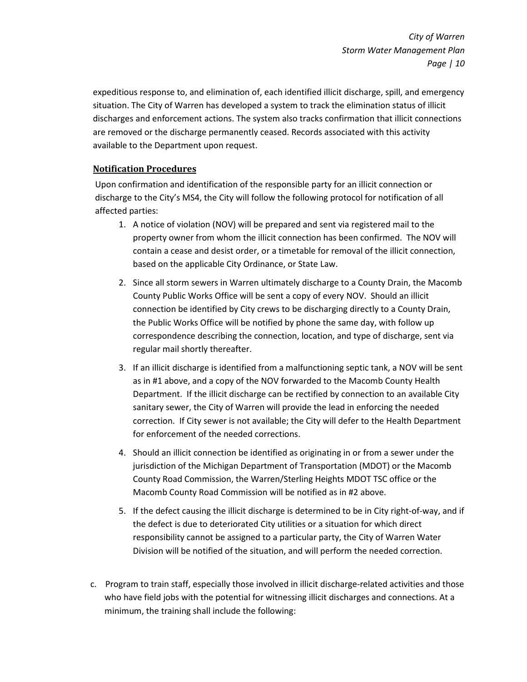expeditious response to, and elimination of, each identified illicit discharge, spill, and emergency situation. The City of Warren has developed a system to track the elimination status of illicit discharges and enforcement actions. The system also tracks confirmation that illicit connections are removed or the discharge permanently ceased. Records associated with this activity available to the Department upon request.

### Notification Procedures

Upon confirmation and identification of the responsible party for an illicit connection or discharge to the City's MS4, the City will follow the following protocol for notification of all affected parties:

- 1. A notice of violation (NOV) will be prepared and sent via registered mail to the property owner from whom the illicit connection has been confirmed. The NOV will contain a cease and desist order, or a timetable for removal of the illicit connection, based on the applicable City Ordinance, or State Law.
- 2. Since all storm sewers in Warren ultimately discharge to a County Drain, the Macomb County Public Works Office will be sent a copy of every NOV. Should an illicit connection be identified by City crews to be discharging directly to a County Drain, the Public Works Office will be notified by phone the same day, with follow up correspondence describing the connection, location, and type of discharge, sent via regular mail shortly thereafter.
- 3. If an illicit discharge is identified from a malfunctioning septic tank, a NOV will be sent as in #1 above, and a copy of the NOV forwarded to the Macomb County Health Department. If the illicit discharge can be rectified by connection to an available City sanitary sewer, the City of Warren will provide the lead in enforcing the needed correction. If City sewer is not available; the City will defer to the Health Department for enforcement of the needed corrections.
- 4. Should an illicit connection be identified as originating in or from a sewer under the jurisdiction of the Michigan Department of Transportation (MDOT) or the Macomb County Road Commission, the Warren/Sterling Heights MDOT TSC office or the Macomb County Road Commission will be notified as in #2 above.
- 5. If the defect causing the illicit discharge is determined to be in City right-of-way, and if the defect is due to deteriorated City utilities or a situation for which direct responsibility cannot be assigned to a particular party, the City of Warren Water Division will be notified of the situation, and will perform the needed correction.
- c. Program to train staff, especially those involved in illicit discharge-related activities and those who have field jobs with the potential for witnessing illicit discharges and connections. At a minimum, the training shall include the following: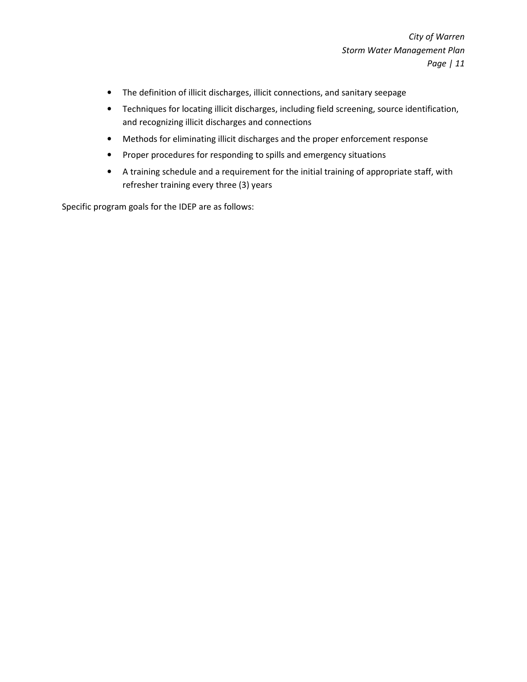- The definition of illicit discharges, illicit connections, and sanitary seepage
- Techniques for locating illicit discharges, including field screening, source identification, and recognizing illicit discharges and connections
- Methods for eliminating illicit discharges and the proper enforcement response
- Proper procedures for responding to spills and emergency situations
- A training schedule and a requirement for the initial training of appropriate staff, with refresher training every three (3) years

Specific program goals for the IDEP are as follows: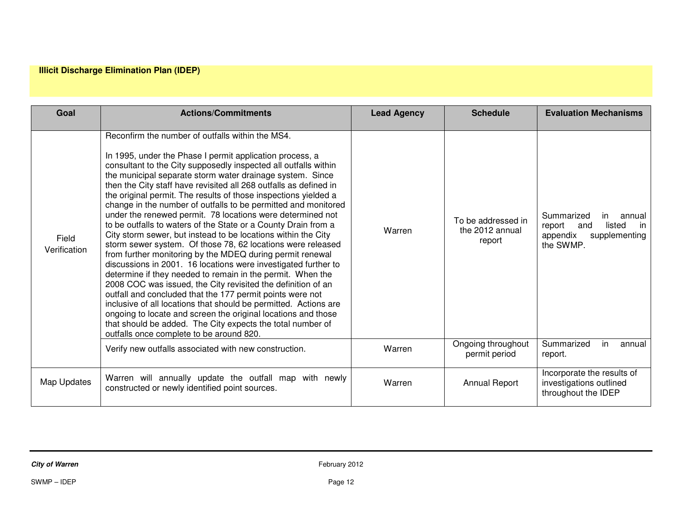### **Illicit Discharge Elimination Plan (IDEP)**

| Goal                  | <b>Actions/Commitments</b>                                                                                                                                                                                                                                                                                                                                                                                                                                                                                                                                                                                                                                                                                                                                                                                                                                                                                                                                                                                                                                                                                                                                                                                                                                                                      | <b>Lead Agency</b> | <b>Schedule</b>                                 | <b>Evaluation Mechanisms</b>                                                                           |
|-----------------------|-------------------------------------------------------------------------------------------------------------------------------------------------------------------------------------------------------------------------------------------------------------------------------------------------------------------------------------------------------------------------------------------------------------------------------------------------------------------------------------------------------------------------------------------------------------------------------------------------------------------------------------------------------------------------------------------------------------------------------------------------------------------------------------------------------------------------------------------------------------------------------------------------------------------------------------------------------------------------------------------------------------------------------------------------------------------------------------------------------------------------------------------------------------------------------------------------------------------------------------------------------------------------------------------------|--------------------|-------------------------------------------------|--------------------------------------------------------------------------------------------------------|
| Field<br>Verification | Reconfirm the number of outfalls within the MS4.<br>In 1995, under the Phase I permit application process, a<br>consultant to the City supposedly inspected all outfalls within<br>the municipal separate storm water drainage system. Since<br>then the City staff have revisited all 268 outfalls as defined in<br>the original permit. The results of those inspections yielded a<br>change in the number of outfalls to be permitted and monitored<br>under the renewed permit. 78 locations were determined not<br>to be outfalls to waters of the State or a County Drain from a<br>City storm sewer, but instead to be locations within the City<br>storm sewer system. Of those 78, 62 locations were released<br>from further monitoring by the MDEQ during permit renewal<br>discussions in 2001. 16 locations were investigated further to<br>determine if they needed to remain in the permit. When the<br>2008 COC was issued, the City revisited the definition of an<br>outfall and concluded that the 177 permit points were not<br>inclusive of all locations that should be permitted. Actions are<br>ongoing to locate and screen the original locations and those<br>that should be added. The City expects the total number of<br>outfalls once complete to be around 820. | Warren             | To be addressed in<br>the 2012 annual<br>report | Summarized<br>annual<br>in.<br>listed<br>report<br>in<br>and<br>appendix<br>supplementing<br>the SWMP. |
|                       | Verify new outfalls associated with new construction.                                                                                                                                                                                                                                                                                                                                                                                                                                                                                                                                                                                                                                                                                                                                                                                                                                                                                                                                                                                                                                                                                                                                                                                                                                           | Warren             | Ongoing throughout<br>permit period             | Summarized<br>in.<br>annual<br>report.                                                                 |
| Map Updates           | Warren will annually update the outfall map with newly<br>constructed or newly identified point sources.                                                                                                                                                                                                                                                                                                                                                                                                                                                                                                                                                                                                                                                                                                                                                                                                                                                                                                                                                                                                                                                                                                                                                                                        | Warren             | <b>Annual Report</b>                            | Incorporate the results of<br>investigations outlined<br>throughout the IDEP                           |

**City of Warren** February 2012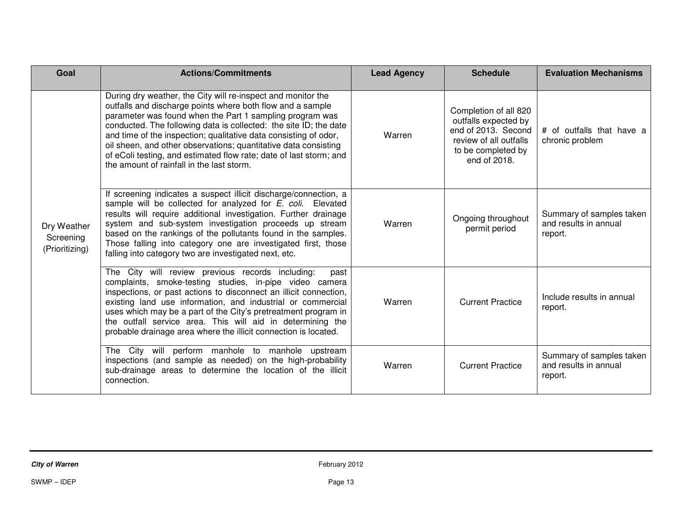| Goal                                       | <b>Actions/Commitments</b>                                                                                                                                                                                                                                                                                                                                                                                                                                                                                            | <b>Lead Agency</b> | <b>Schedule</b>                                                                                                                      | <b>Evaluation Mechanisms</b>                                 |
|--------------------------------------------|-----------------------------------------------------------------------------------------------------------------------------------------------------------------------------------------------------------------------------------------------------------------------------------------------------------------------------------------------------------------------------------------------------------------------------------------------------------------------------------------------------------------------|--------------------|--------------------------------------------------------------------------------------------------------------------------------------|--------------------------------------------------------------|
| Dry Weather<br>Screening<br>(Prioritizing) | During dry weather, the City will re-inspect and monitor the<br>outfalls and discharge points where both flow and a sample<br>parameter was found when the Part 1 sampling program was<br>conducted. The following data is collected: the site ID; the date<br>and time of the inspection; qualitative data consisting of odor,<br>oil sheen, and other observations; quantitative data consisting<br>of eColi testing, and estimated flow rate; date of last storm; and<br>the amount of rainfall in the last storm. | Warren             | Completion of all 820<br>outfalls expected by<br>end of 2013. Second<br>review of all outfalls<br>to be completed by<br>end of 2018. | # of outfalls that have a<br>chronic problem                 |
|                                            | If screening indicates a suspect illicit discharge/connection, a<br>sample will be collected for analyzed for E. coli. Elevated<br>results will require additional investigation. Further drainage<br>system and sub-system investigation proceeds up stream<br>based on the rankings of the pollutants found in the samples.<br>Those falling into category one are investigated first, those<br>falling into category two are investigated next, etc.                                                               | Warren             | Ongoing throughout<br>permit period                                                                                                  | Summary of samples taken<br>and results in annual<br>report. |
|                                            | The City will review previous records including:<br>past<br>complaints, smoke-testing studies, in-pipe video camera<br>inspections, or past actions to disconnect an illicit connection,<br>existing land use information, and industrial or commercial<br>uses which may be a part of the City's pretreatment program in<br>the outfall service area. This will aid in determining the<br>probable drainage area where the illicit connection is located.                                                            | Warren             | <b>Current Practice</b>                                                                                                              | Include results in annual<br>report.                         |
|                                            | The City will perform manhole to manhole upstream<br>inspections (and sample as needed) on the high-probability<br>sub-drainage areas to determine the location of the illicit<br>connection.                                                                                                                                                                                                                                                                                                                         | Warren             | <b>Current Practice</b>                                                                                                              | Summary of samples taken<br>and results in annual<br>report. |

**City of Warren** February 2012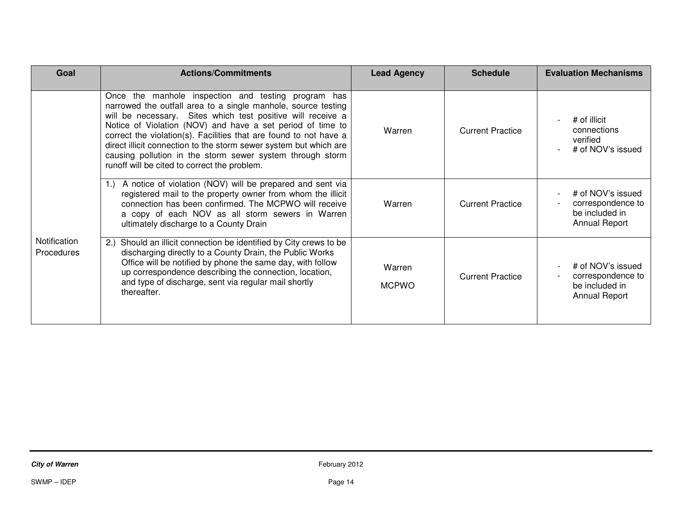| Goal                              | <b>Actions/Commitments</b>                                                                                                                                                                                                                                                                                                                                                                                                                                                                               | <b>Lead Agency</b>     | <b>Schedule</b>         | <b>Evaluation Mechanisms</b>                                                     |
|-----------------------------------|----------------------------------------------------------------------------------------------------------------------------------------------------------------------------------------------------------------------------------------------------------------------------------------------------------------------------------------------------------------------------------------------------------------------------------------------------------------------------------------------------------|------------------------|-------------------------|----------------------------------------------------------------------------------|
|                                   | Once the manhole inspection and testing program has<br>narrowed the outfall area to a single manhole, source testing<br>will be necessary. Sites which test positive will receive a<br>Notice of Violation (NOV) and have a set period of time to<br>correct the violation(s). Facilities that are found to not have a<br>direct illicit connection to the storm sewer system but which are<br>causing pollution in the storm sewer system through storm<br>runoff will be cited to correct the problem. | Warren                 | <b>Current Practice</b> | # of illicit<br>connections<br>verified<br># of NOV's issued                     |
|                                   | A notice of violation (NOV) will be prepared and sent via<br>registered mail to the property owner from whom the illicit<br>connection has been confirmed. The MCPWO will receive<br>a copy of each NOV as all storm sewers in Warren<br>ultimately discharge to a County Drain                                                                                                                                                                                                                          | Warren                 | <b>Current Practice</b> | # of NOV's issued<br>correspondence to<br>be included in<br><b>Annual Report</b> |
| Notification<br><b>Procedures</b> | Should an illicit connection be identified by City crews to be<br>2.)<br>discharging directly to a County Drain, the Public Works<br>Office will be notified by phone the same day, with follow<br>up correspondence describing the connection, location,<br>and type of discharge, sent via regular mail shortly<br>thereafter.                                                                                                                                                                         | Warren<br><b>MCPWO</b> | <b>Current Practice</b> | # of NOV's issued<br>correspondence to<br>be included in<br>Annual Report        |

 $SWMP - IDEP$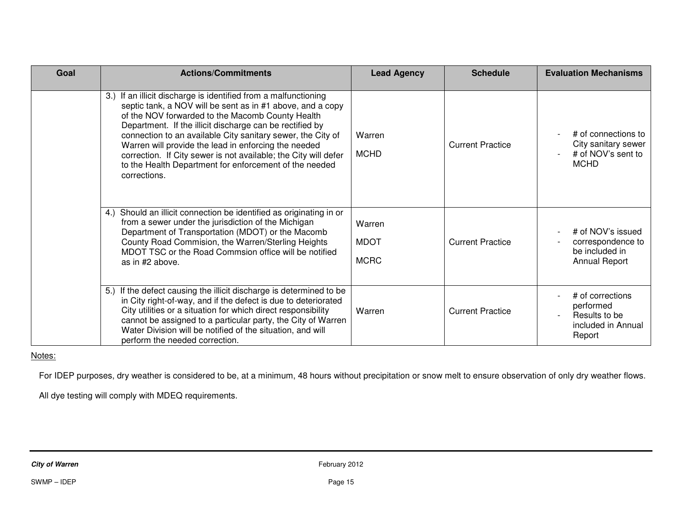| Goal | <b>Actions/Commitments</b>                                                                                                                                                                                                                                                                                                                                                                                                                                                                                          | <b>Lead Agency</b>                   | <b>Schedule</b>         | <b>Evaluation Mechanisms</b>                                                     |
|------|---------------------------------------------------------------------------------------------------------------------------------------------------------------------------------------------------------------------------------------------------------------------------------------------------------------------------------------------------------------------------------------------------------------------------------------------------------------------------------------------------------------------|--------------------------------------|-------------------------|----------------------------------------------------------------------------------|
|      | If an illicit discharge is identified from a malfunctioning<br>3.<br>septic tank, a NOV will be sent as in #1 above, and a copy<br>of the NOV forwarded to the Macomb County Health<br>Department. If the illicit discharge can be rectified by<br>connection to an available City sanitary sewer, the City of<br>Warren will provide the lead in enforcing the needed<br>correction. If City sewer is not available; the City will defer<br>to the Health Department for enforcement of the needed<br>corrections. | Warren<br><b>MCHD</b>                | <b>Current Practice</b> | # of connections to<br>City sanitary sewer<br># of NOV's sent to<br><b>MCHD</b>  |
|      | Should an illicit connection be identified as originating in or<br>4.<br>from a sewer under the jurisdiction of the Michigan<br>Department of Transportation (MDOT) or the Macomb<br>County Road Commision, the Warren/Sterling Heights<br>MDOT TSC or the Road Commsion office will be notified<br>as in #2 above.                                                                                                                                                                                                 | Warren<br><b>MDOT</b><br><b>MCRC</b> | <b>Current Practice</b> | # of NOV's issued<br>correspondence to<br>be included in<br><b>Annual Report</b> |
|      | 5.) If the defect causing the illicit discharge is determined to be<br>in City right-of-way, and if the defect is due to deteriorated<br>City utilities or a situation for which direct responsibility<br>cannot be assigned to a particular party, the City of Warren<br>Water Division will be notified of the situation, and will<br>perform the needed correction.                                                                                                                                              | Warren                               | <b>Current Practice</b> | # of corrections<br>performed<br>Results to be<br>included in Annual<br>Report   |

Notes:

For IDEP purposes, dry weather is considered to be, at a minimum, 48 hours without precipitation or snow melt to ensure observation of only dry weather flows.

All dye testing will comply with MDEQ requirements.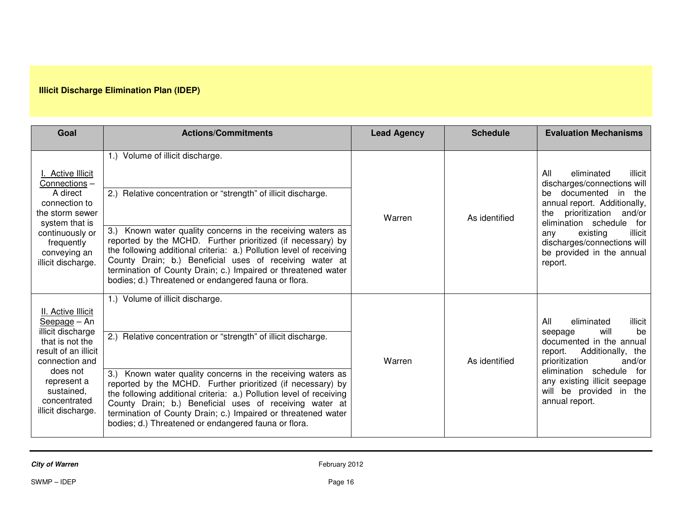# **Illicit Discharge Elimination Plan (IDEP)**

| Goal                                                                                                                                                                                                | <b>Actions/Commitments</b>                                                                                                                                                                                                                                                                                                                                                                                                                                                                  | <b>Lead Agency</b> | <b>Schedule</b> | <b>Evaluation Mechanisms</b>                                                                                                                                                                                                                                                                            |
|-----------------------------------------------------------------------------------------------------------------------------------------------------------------------------------------------------|---------------------------------------------------------------------------------------------------------------------------------------------------------------------------------------------------------------------------------------------------------------------------------------------------------------------------------------------------------------------------------------------------------------------------------------------------------------------------------------------|--------------------|-----------------|---------------------------------------------------------------------------------------------------------------------------------------------------------------------------------------------------------------------------------------------------------------------------------------------------------|
| <b>Active Illicit</b><br>Connections-<br>A direct<br>connection to<br>the storm sewer<br>system that is<br>continuously or<br>frequently<br>conveying an<br>illicit discharge.                      | 1.) Volume of illicit discharge.<br>2.) Relative concentration or "strength" of illicit discharge.<br>3.) Known water quality concerns in the receiving waters as<br>reported by the MCHD. Further prioritized (if necessary) by<br>the following additional criteria: a.) Pollution level of receiving<br>County Drain; b.) Beneficial uses of receiving water at<br>termination of County Drain; c.) Impaired or threatened water<br>bodies; d.) Threatened or endangered fauna or flora. | Warren             | As identified   | eliminated<br>All<br>illicit<br>discharges/connections will<br>documented<br>he l<br>the<br>- in<br>annual report. Additionally,<br>prioritization<br>and/or<br>the<br>elimination schedule<br>for<br>illicit<br>existing<br>any<br>discharges/connections will<br>be provided in the annual<br>report. |
| II. Active Illicit<br>Seepage - An<br>illicit discharge<br>that is not the<br>result of an illicit<br>connection and<br>does not<br>represent a<br>sustained,<br>concentrated<br>illicit discharge. | 1.) Volume of illicit discharge.<br>2.) Relative concentration or "strength" of illicit discharge.<br>3.) Known water quality concerns in the receiving waters as<br>reported by the MCHD. Further prioritized (if necessary) by<br>the following additional criteria: a.) Pollution level of receiving<br>County Drain; b.) Beneficial uses of receiving water at<br>termination of County Drain; c.) Impaired or threatened water<br>bodies; d.) Threatened or endangered fauna or flora. | Warren             | As identified   | eliminated<br>All<br>illicit<br>will<br>be<br>seepage<br>documented in the annual<br>Additionally, the<br>report.<br>and/or<br>prioritization<br>elimination schedule for<br>any existing illicit seepage<br>will be provided in the<br>annual report.                                                  |

**City of Warren** February 2012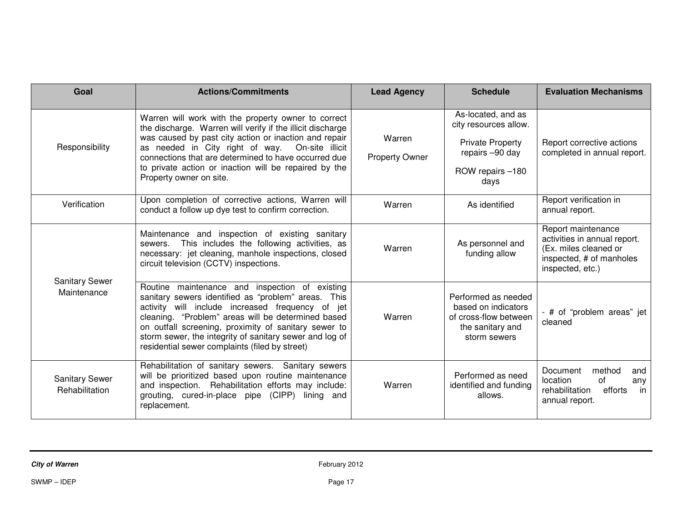| Goal                                    | <b>Actions/Commitments</b>                                                                                                                                                                                                                                                                                                                                                           | <b>Lead Agency</b>              | <b>Schedule</b>                                                                                                       | <b>Evaluation Mechanisms</b>                                                                                                |
|-----------------------------------------|--------------------------------------------------------------------------------------------------------------------------------------------------------------------------------------------------------------------------------------------------------------------------------------------------------------------------------------------------------------------------------------|---------------------------------|-----------------------------------------------------------------------------------------------------------------------|-----------------------------------------------------------------------------------------------------------------------------|
| Responsibility                          | Warren will work with the property owner to correct<br>the discharge. Warren will verify if the illicit discharge<br>was caused by past city action or inaction and repair<br>as needed in City right of way. On-site illicit<br>connections that are determined to have occurred due<br>to private action or inaction will be repaired by the<br>Property owner on site.            | Warren<br><b>Property Owner</b> | As-located, and as<br>city resources allow.<br><b>Private Property</b><br>repairs -90 day<br>ROW repairs -180<br>days | Report corrective actions<br>completed in annual report.                                                                    |
| Verification                            | Upon completion of corrective actions, Warren will<br>conduct a follow up dye test to confirm correction.                                                                                                                                                                                                                                                                            | Warren                          | As identified                                                                                                         | Report verification in<br>annual report.                                                                                    |
|                                         | Maintenance and inspection of existing sanitary<br>This includes the following activities, as<br>sewers.<br>necessary: jet cleaning, manhole inspections, closed<br>circuit television (CCTV) inspections.                                                                                                                                                                           | Warren                          | As personnel and<br>funding allow                                                                                     | Report maintenance<br>activities in annual report.<br>(Ex. miles cleaned or<br>inspected, # of manholes<br>inspected, etc.) |
| <b>Sanitary Sewer</b><br>Maintenance    | Routine maintenance and inspection of existing<br>sanitary sewers identified as "problem" areas. This<br>activity will include increased frequency of jet<br>cleaning. "Problem" areas will be determined based<br>on outfall screening, proximity of sanitary sewer to<br>storm sewer, the integrity of sanitary sewer and log of<br>residential sewer complaints (filed by street) | Warren                          | Performed as needed<br>based on indicators<br>of cross-flow between<br>the sanitary and<br>storm sewers               | - # of "problem areas" jet<br>cleaned                                                                                       |
| <b>Sanitary Sewer</b><br>Rehabilitation | Rehabilitation of sanitary sewers. Sanitary sewers<br>will be prioritized based upon routine maintenance<br>and inspection. Rehabilitation efforts may include:<br>grouting, cured-in-place pipe (CIPP) lining and<br>replacement.                                                                                                                                                   | Warren                          | Performed as need<br>identified and funding<br>allows.                                                                | method<br>Document<br>and<br>of<br>location<br>any<br>rehabilitation<br>efforts<br>in<br>annual report.                     |

**City of Warren** February 2012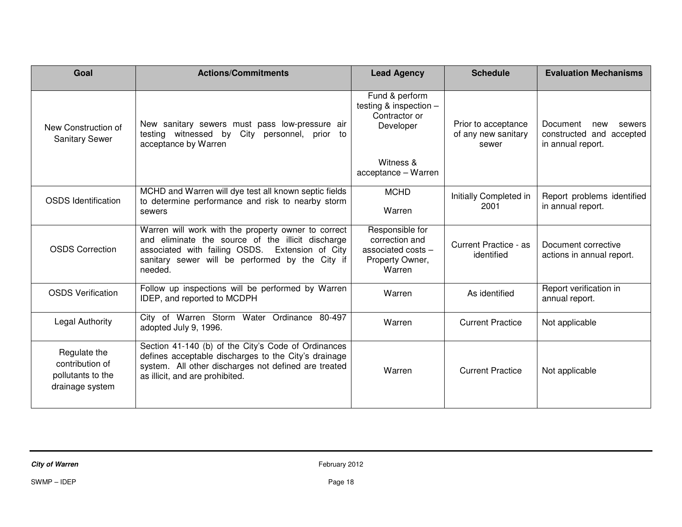| Goal                                                                    | <b>Actions/Commitments</b>                                                                                                                                                                                                   | <b>Lead Agency</b>                                                                   | <b>Schedule</b>                                     | <b>Evaluation Mechanisms</b>                                               |
|-------------------------------------------------------------------------|------------------------------------------------------------------------------------------------------------------------------------------------------------------------------------------------------------------------------|--------------------------------------------------------------------------------------|-----------------------------------------------------|----------------------------------------------------------------------------|
| New Construction of<br><b>Sanitary Sewer</b>                            | New sanitary sewers must pass low-pressure air<br>City personnel, prior to<br>testing witnessed by<br>acceptance by Warren                                                                                                   | Fund & perform<br>testing & inspection $-$<br>Contractor or<br>Developer             | Prior to acceptance<br>of any new sanitary<br>sewer | Document<br>new<br>sewers<br>constructed and accepted<br>in annual report. |
|                                                                         |                                                                                                                                                                                                                              | Witness &<br>acceptance - Warren                                                     |                                                     |                                                                            |
| <b>OSDS</b> Identification                                              | MCHD and Warren will dye test all known septic fields<br>to determine performance and risk to nearby storm<br>sewers                                                                                                         | <b>MCHD</b><br>Warren                                                                | Initially Completed in<br>2001                      | Report problems identified<br>in annual report.                            |
| <b>OSDS Correction</b>                                                  | Warren will work with the property owner to correct<br>and eliminate the source of the illicit discharge<br>associated with failing OSDS.<br>Extension of City<br>sanitary sewer will be performed by the City if<br>needed. | Responsible for<br>correction and<br>associated costs -<br>Property Owner,<br>Warren | Current Practice - as<br>identified                 | Document corrective<br>actions in annual report.                           |
| <b>OSDS Verification</b>                                                | Follow up inspections will be performed by Warren<br>IDEP, and reported to MCDPH                                                                                                                                             | Warren                                                                               | As identified                                       | Report verification in<br>annual report.                                   |
| Legal Authority                                                         | City of Warren Storm Water Ordinance 80-497<br>adopted July 9, 1996.                                                                                                                                                         | Warren                                                                               | <b>Current Practice</b>                             | Not applicable                                                             |
| Regulate the<br>contribution of<br>pollutants to the<br>drainage system | Section 41-140 (b) of the City's Code of Ordinances<br>defines acceptable discharges to the City's drainage<br>system. All other discharges not defined are treated<br>as illicit, and are prohibited.                       | Warren                                                                               | <b>Current Practice</b>                             | Not applicable                                                             |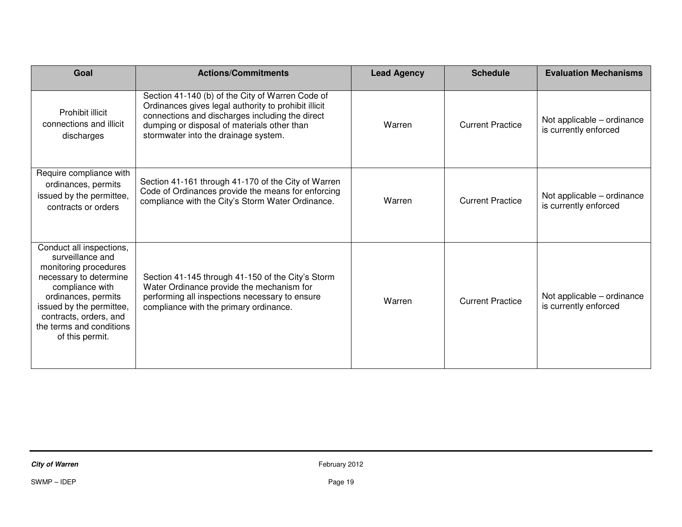| Goal                                                                                                                                                                                                                                           | <b>Actions/Commitments</b>                                                                                                                                                                                                                         | <b>Lead Agency</b> | <b>Schedule</b>         | <b>Evaluation Mechanisms</b>                        |
|------------------------------------------------------------------------------------------------------------------------------------------------------------------------------------------------------------------------------------------------|----------------------------------------------------------------------------------------------------------------------------------------------------------------------------------------------------------------------------------------------------|--------------------|-------------------------|-----------------------------------------------------|
| Prohibit illicit<br>connections and illicit<br>discharges                                                                                                                                                                                      | Section 41-140 (b) of the City of Warren Code of<br>Ordinances gives legal authority to prohibit illicit<br>connections and discharges including the direct<br>dumping or disposal of materials other than<br>stormwater into the drainage system. | Warren             | <b>Current Practice</b> | Not applicable – ordinance<br>is currently enforced |
| Require compliance with<br>ordinances, permits<br>issued by the permittee,<br>contracts or orders                                                                                                                                              | Section 41-161 through 41-170 of the City of Warren<br>Code of Ordinances provide the means for enforcing<br>compliance with the City's Storm Water Ordinance.                                                                                     | Warren             | <b>Current Practice</b> | Not applicable – ordinance<br>is currently enforced |
| Conduct all inspections,<br>surveillance and<br>monitoring procedures<br>necessary to determine<br>compliance with<br>ordinances, permits<br>issued by the permittee,<br>contracts, orders, and<br>the terms and conditions<br>of this permit. | Section 41-145 through 41-150 of the City's Storm<br>Water Ordinance provide the mechanism for<br>performing all inspections necessary to ensure<br>compliance with the primary ordinance.                                                         | Warren             | <b>Current Practice</b> | Not applicable – ordinance<br>is currently enforced |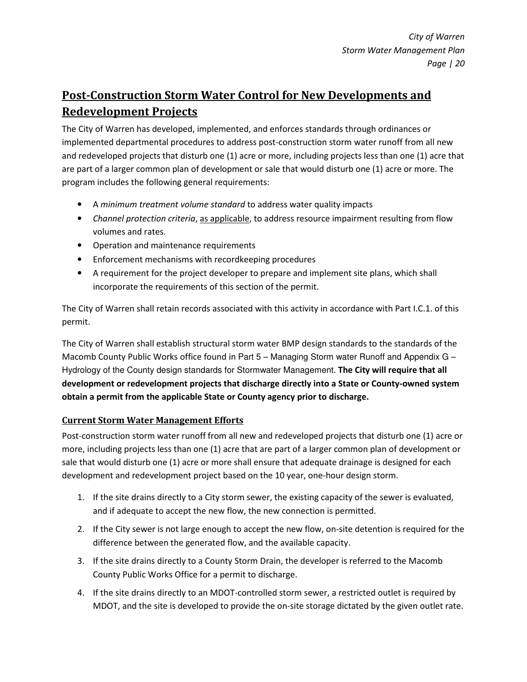# Post-Construction Storm Water Control for New Developments and Redevelopment Projects

The City of Warren has developed, implemented, and enforces standards through ordinances or implemented departmental procedures to address post-construction storm water runoff from all new and redeveloped projects that disturb one (1) acre or more, including projects less than one (1) acre that are part of a larger common plan of development or sale that would disturb one (1) acre or more. The program includes the following general requirements:

- A minimum treatment volume standard to address water quality impacts
- Channel protection criteria, as applicable, to address resource impairment resulting from flow volumes and rates.
- Operation and maintenance requirements
- Enforcement mechanisms with recordkeeping procedures
- A requirement for the project developer to prepare and implement site plans, which shall incorporate the requirements of this section of the permit.

The City of Warren shall retain records associated with this activity in accordance with Part I.C.1. of this permit.

The City of Warren shall establish structural storm water BMP design standards to the standards of the Macomb County Public Works office found in Part 5 – Managing Storm water Runoff and Appendix G – Hydrology of the County design standards for Stormwater Management. The City will require that all development or redevelopment projects that discharge directly into a State or County-owned system obtain a permit from the applicable State or County agency prior to discharge.

# Current Storm Water Management Efforts

Post-construction storm water runoff from all new and redeveloped projects that disturb one (1) acre or more, including projects less than one (1) acre that are part of a larger common plan of development or sale that would disturb one (1) acre or more shall ensure that adequate drainage is designed for each development and redevelopment project based on the 10 year, one-hour design storm.

- 1. If the site drains directly to a City storm sewer, the existing capacity of the sewer is evaluated, and if adequate to accept the new flow, the new connection is permitted.
- 2. If the City sewer is not large enough to accept the new flow, on-site detention is required for the difference between the generated flow, and the available capacity.
- 3. If the site drains directly to a County Storm Drain, the developer is referred to the Macomb County Public Works Office for a permit to discharge.
- 4. If the site drains directly to an MDOT-controlled storm sewer, a restricted outlet is required by MDOT, and the site is developed to provide the on-site storage dictated by the given outlet rate.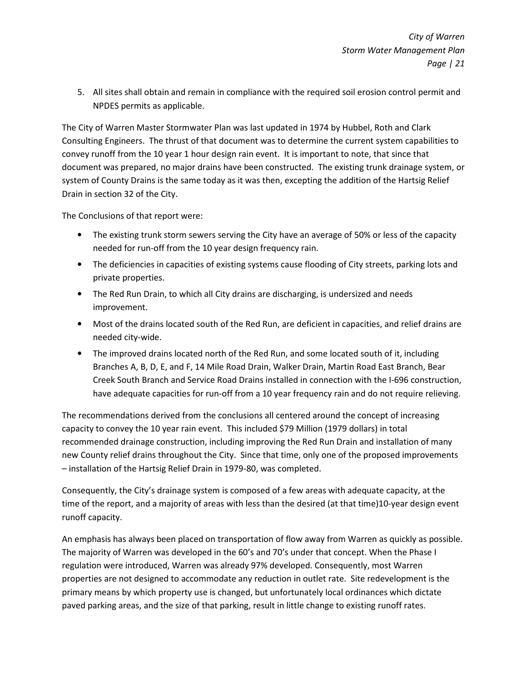5. All sites shall obtain and remain in compliance with the required soil erosion control permit and NPDES permits as applicable.

The City of Warren Master Stormwater Plan was last updated in 1974 by Hubbel, Roth and Clark Consulting Engineers. The thrust of that document was to determine the current system capabilities to convey runoff from the 10 year 1 hour design rain event. It is important to note, that since that document was prepared, no major drains have been constructed. The existing trunk drainage system, or system of County Drains is the same today as it was then, excepting the addition of the Hartsig Relief Drain in section 32 of the City.

The Conclusions of that report were:

- The existing trunk storm sewers serving the City have an average of 50% or less of the capacity needed for run-off from the 10 year design frequency rain.
- The deficiencies in capacities of existing systems cause flooding of City streets, parking lots and private properties.
- The Red Run Drain, to which all City drains are discharging, is undersized and needs improvement.
- Most of the drains located south of the Red Run, are deficient in capacities, and relief drains are needed city-wide.
- The improved drains located north of the Red Run, and some located south of it, including Branches A, B, D, E, and F, 14 Mile Road Drain, Walker Drain, Martin Road East Branch, Bear Creek South Branch and Service Road Drains installed in connection with the I-696 construction, have adequate capacities for run-off from a 10 year frequency rain and do not require relieving.

The recommendations derived from the conclusions all centered around the concept of increasing capacity to convey the 10 year rain event. This included \$79 Million (1979 dollars) in total recommended drainage construction, including improving the Red Run Drain and installation of many new County relief drains throughout the City. Since that time, only one of the proposed improvements – installation of the Hartsig Relief Drain in 1979-80, was completed.

Consequently, the City's drainage system is composed of a few areas with adequate capacity, at the time of the report, and a majority of areas with less than the desired (at that time)10-year design event runoff capacity.

An emphasis has always been placed on transportation of flow away from Warren as quickly as possible. The majority of Warren was developed in the 60's and 70's under that concept. When the Phase I regulation were introduced, Warren was already 97% developed. Consequently, most Warren properties are not designed to accommodate any reduction in outlet rate. Site redevelopment is the primary means by which property use is changed, but unfortunately local ordinances which dictate paved parking areas, and the size of that parking, result in little change to existing runoff rates.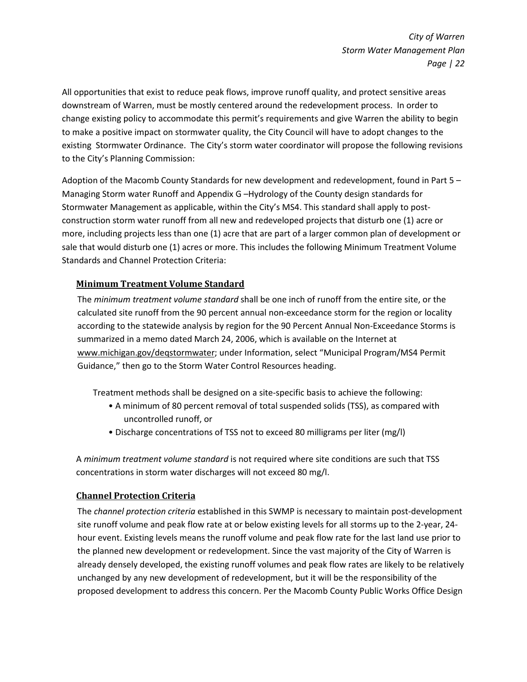All opportunities that exist to reduce peak flows, improve runoff quality, and protect sensitive areas downstream of Warren, must be mostly centered around the redevelopment process. In order to change existing policy to accommodate this permit's requirements and give Warren the ability to begin to make a positive impact on stormwater quality, the City Council will have to adopt changes to the existing Stormwater Ordinance. The City's storm water coordinator will propose the following revisions to the City's Planning Commission:

Adoption of the Macomb County Standards for new development and redevelopment, found in Part 5 – Managing Storm water Runoff and Appendix G –Hydrology of the County design standards for Stormwater Management as applicable, within the City's MS4. This standard shall apply to postconstruction storm water runoff from all new and redeveloped projects that disturb one (1) acre or more, including projects less than one (1) acre that are part of a larger common plan of development or sale that would disturb one (1) acres or more. This includes the following Minimum Treatment Volume Standards and Channel Protection Criteria:

# Minimum Treatment Volume Standard

The minimum treatment volume standard shall be one inch of runoff from the entire site, or the calculated site runoff from the 90 percent annual non-exceedance storm for the region or locality according to the statewide analysis by region for the 90 Percent Annual Non-Exceedance Storms is summarized in a memo dated March 24, 2006, which is available on the Internet at www.michigan.gov/deqstormwater; under Information, select "Municipal Program/MS4 Permit Guidance," then go to the Storm Water Control Resources heading.

Treatment methods shall be designed on a site-specific basis to achieve the following:

- A minimum of 80 percent removal of total suspended solids (TSS), as compared with uncontrolled runoff, or
- Discharge concentrations of TSS not to exceed 80 milligrams per liter (mg/l)

A minimum treatment volume standard is not required where site conditions are such that TSS concentrations in storm water discharges will not exceed 80 mg/l.

### Channel Protection Criteria

The *channel protection criteria* established in this SWMP is necessary to maintain post-development site runoff volume and peak flow rate at or below existing levels for all storms up to the 2-year, 24 hour event. Existing levels means the runoff volume and peak flow rate for the last land use prior to the planned new development or redevelopment. Since the vast majority of the City of Warren is already densely developed, the existing runoff volumes and peak flow rates are likely to be relatively unchanged by any new development of redevelopment, but it will be the responsibility of the proposed development to address this concern. Per the Macomb County Public Works Office Design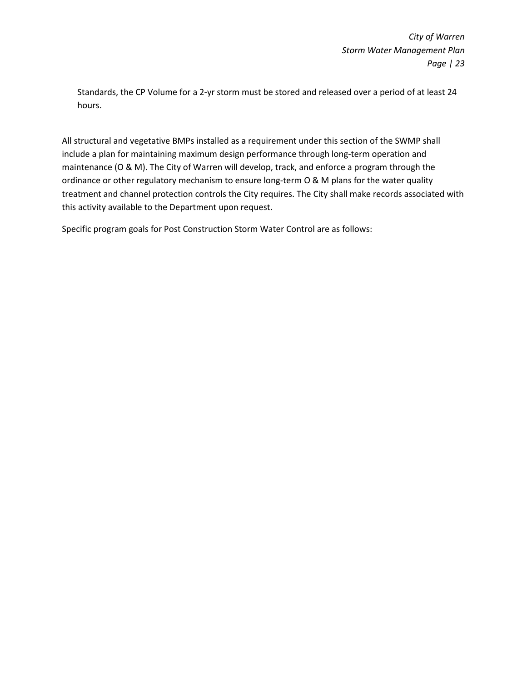Standards, the CP Volume for a 2-yr storm must be stored and released over a period of at least 24 hours.

All structural and vegetative BMPs installed as a requirement under this section of the SWMP shall include a plan for maintaining maximum design performance through long-term operation and maintenance (O & M). The City of Warren will develop, track, and enforce a program through the ordinance or other regulatory mechanism to ensure long-term O & M plans for the water quality treatment and channel protection controls the City requires. The City shall make records associated with this activity available to the Department upon request.

Specific program goals for Post Construction Storm Water Control are as follows: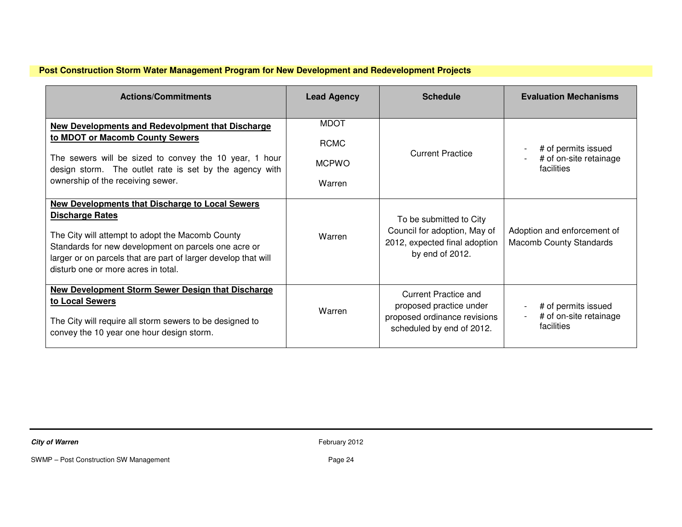# **Post Construction Storm Water Management Program for New Development and Redevelopment Projects**

| <b>Actions/Commitments</b>                                                                                                                                                                                                                                                                     | <b>Lead Agency</b> | <b>Schedule</b>                                                                                                     | <b>Evaluation Mechanisms</b>                                                                                            |
|------------------------------------------------------------------------------------------------------------------------------------------------------------------------------------------------------------------------------------------------------------------------------------------------|--------------------|---------------------------------------------------------------------------------------------------------------------|-------------------------------------------------------------------------------------------------------------------------|
| New Developments and Redevolpment that Discharge                                                                                                                                                                                                                                               | <b>MDOT</b>        |                                                                                                                     |                                                                                                                         |
| to MDOT or Macomb County Sewers                                                                                                                                                                                                                                                                | <b>RCMC</b>        |                                                                                                                     | # of permits issued                                                                                                     |
| The sewers will be sized to convey the 10 year, 1 hour<br>design storm. The outlet rate is set by the agency with                                                                                                                                                                              | <b>MCPWO</b>       | <b>Current Practice</b>                                                                                             | # of on-site retainage<br>facilities                                                                                    |
| ownership of the receiving sewer.                                                                                                                                                                                                                                                              | Warren             |                                                                                                                     |                                                                                                                         |
| New Developments that Discharge to Local Sewers<br><b>Discharge Rates</b><br>The City will attempt to adopt the Macomb County<br>Standards for new development on parcels one acre or<br>larger or on parcels that are part of larger develop that will<br>disturb one or more acres in total. | Warren             | To be submitted to City<br>Council for adoption, May of<br>2012, expected final adoption<br>by end of 2012.         | Adoption and enforcement of<br><b>Macomb County Standards</b>                                                           |
| <b>New Development Storm Sewer Design that Discharge</b><br>to Local Sewers<br>The City will require all storm sewers to be designed to<br>convey the 10 year one hour design storm.                                                                                                           | Warren             | <b>Current Practice and</b><br>proposed practice under<br>proposed ordinance revisions<br>scheduled by end of 2012. | # of permits issued<br>$\qquad \qquad \blacksquare$<br># of on-site retainage<br>$\overline{\phantom{a}}$<br>facilities |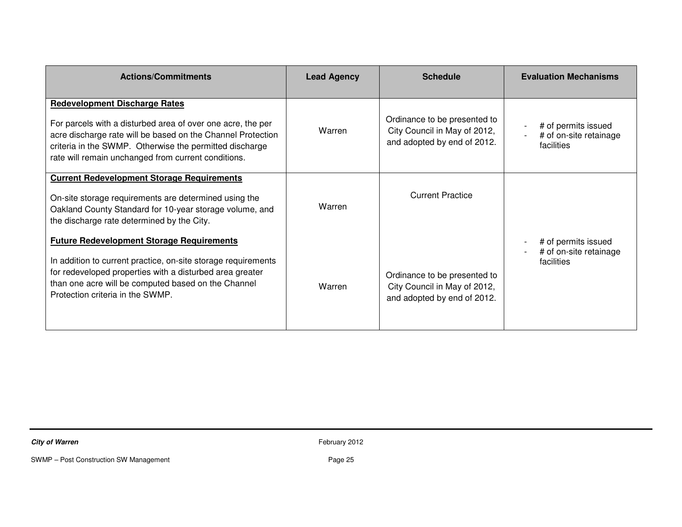| <b>Actions/Commitments</b>                                                                                                                                                                                                                                                           | <b>Lead Agency</b> | <b>Schedule</b>                                                                             | <b>Evaluation Mechanisms</b>                                |
|--------------------------------------------------------------------------------------------------------------------------------------------------------------------------------------------------------------------------------------------------------------------------------------|--------------------|---------------------------------------------------------------------------------------------|-------------------------------------------------------------|
| <b>Redevelopment Discharge Rates</b><br>For parcels with a disturbed area of over one acre, the per<br>acre discharge rate will be based on the Channel Protection<br>criteria in the SWMP. Otherwise the permitted discharge<br>rate will remain unchanged from current conditions. | Warren             | Ordinance to be presented to<br>City Council in May of 2012,<br>and adopted by end of 2012. | # of permits issued<br># of on-site retainage<br>facilities |
| <b>Current Redevelopment Storage Requirements</b><br>On-site storage requirements are determined using the<br>Oakland County Standard for 10-year storage volume, and<br>the discharge rate determined by the City.                                                                  | Warren             | <b>Current Practice</b>                                                                     |                                                             |
| <b>Future Redevelopment Storage Requirements</b><br>In addition to current practice, on-site storage requirements<br>for redeveloped properties with a disturbed area greater<br>than one acre will be computed based on the Channel<br>Protection criteria in the SWMP.             | Warren             | Ordinance to be presented to<br>City Council in May of 2012,<br>and adopted by end of 2012. | # of permits issued<br># of on-site retainage<br>facilities |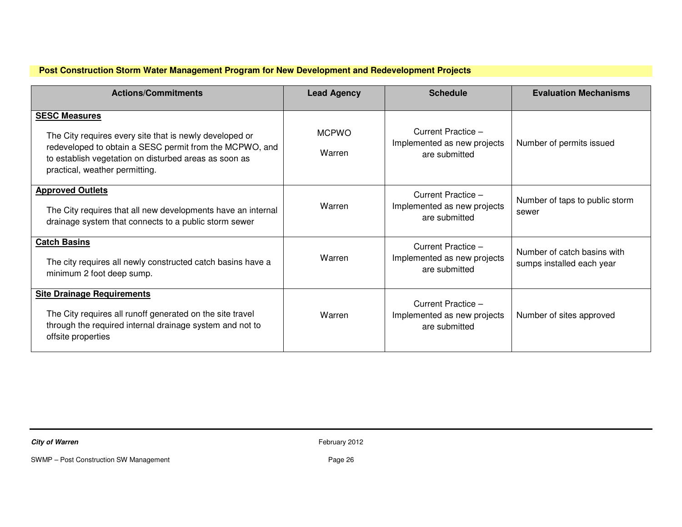# **Post Construction Storm Water Management Program for New Development and Redevelopment Projects**

| <b>Actions/Commitments</b>                                                                                                                                                                                                            | <b>Lead Agency</b>     | <b>Schedule</b>                                                    | <b>Evaluation Mechanisms</b>                             |
|---------------------------------------------------------------------------------------------------------------------------------------------------------------------------------------------------------------------------------------|------------------------|--------------------------------------------------------------------|----------------------------------------------------------|
| <b>SESC Measures</b><br>The City requires every site that is newly developed or<br>redeveloped to obtain a SESC permit from the MCPWO, and<br>to establish vegetation on disturbed areas as soon as<br>practical, weather permitting. | <b>MCPWO</b><br>Warren | Current Practice -<br>Implemented as new projects<br>are submitted | Number of permits issued                                 |
| <b>Approved Outlets</b><br>The City requires that all new developments have an internal<br>drainage system that connects to a public storm sewer                                                                                      | Warren                 | Current Practice -<br>Implemented as new projects<br>are submitted | Number of taps to public storm<br>sewer                  |
| <b>Catch Basins</b><br>The city requires all newly constructed catch basins have a<br>minimum 2 foot deep sump.                                                                                                                       | Warren                 | Current Practice -<br>Implemented as new projects<br>are submitted | Number of catch basins with<br>sumps installed each year |
| <b>Site Drainage Requirements</b><br>The City requires all runoff generated on the site travel<br>through the required internal drainage system and not to<br>offsite properties                                                      | Warren                 | Current Practice -<br>Implemented as new projects<br>are submitted | Number of sites approved                                 |

**City of Warren** February 2012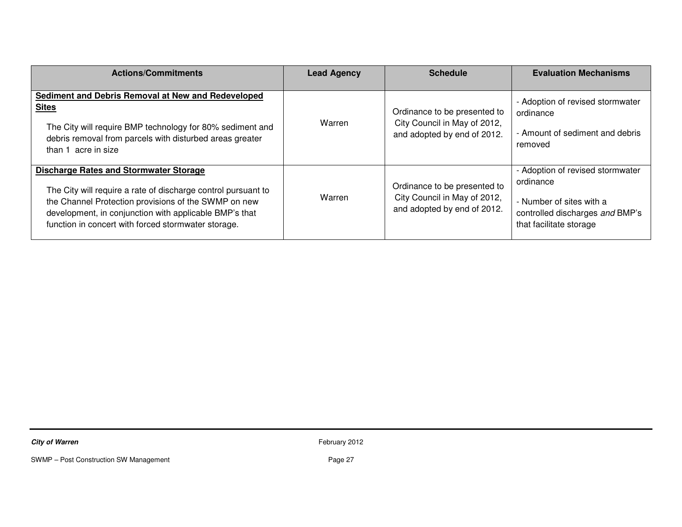| <b>Actions/Commitments</b>                                                                                                                                                                                                                                                              | <b>Lead Agency</b> | <b>Schedule</b>                                                                             | <b>Evaluation Mechanisms</b>                                                                                                            |
|-----------------------------------------------------------------------------------------------------------------------------------------------------------------------------------------------------------------------------------------------------------------------------------------|--------------------|---------------------------------------------------------------------------------------------|-----------------------------------------------------------------------------------------------------------------------------------------|
| Sediment and Debris Removal at New and Redeveloped<br><b>Sites</b><br>The City will require BMP technology for 80% sediment and<br>debris removal from parcels with disturbed areas greater<br>than 1 acre in size                                                                      | Warren             | Ordinance to be presented to<br>City Council in May of 2012,<br>and adopted by end of 2012. | - Adoption of revised stormwater<br>ordinance<br>- Amount of sediment and debris<br>removed                                             |
| <b>Discharge Rates and Stormwater Storage</b><br>The City will require a rate of discharge control pursuant to<br>the Channel Protection provisions of the SWMP on new<br>development, in conjunction with applicable BMP's that<br>function in concert with forced stormwater storage. | Warren             | Ordinance to be presented to<br>City Council in May of 2012,<br>and adopted by end of 2012. | - Adoption of revised stormwater<br>ordinance<br>- Number of sites with a<br>controlled discharges and BMP's<br>that facilitate storage |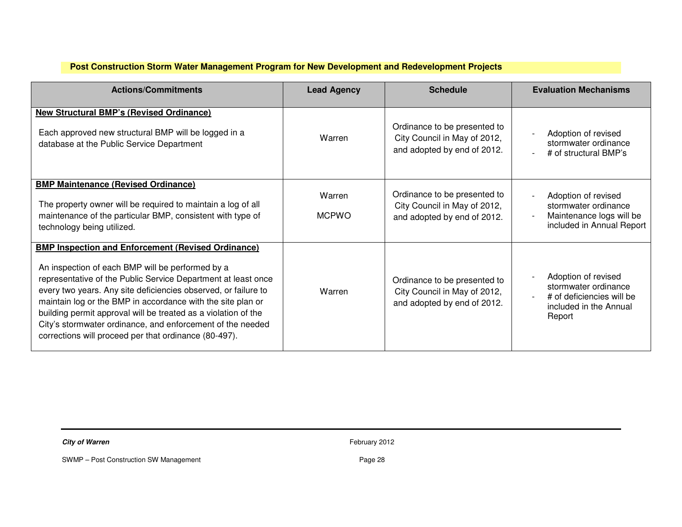# **Post Construction Storm Water Management Program for New Development and Redevelopment Projects**

| <b>Actions/Commitments</b>                                                                                                                                                                                                                                                                                                                                                                                                                                                                               | <b>Lead Agency</b>     | <b>Schedule</b>                                                                             | <b>Evaluation Mechanisms</b>                                                                                 |
|----------------------------------------------------------------------------------------------------------------------------------------------------------------------------------------------------------------------------------------------------------------------------------------------------------------------------------------------------------------------------------------------------------------------------------------------------------------------------------------------------------|------------------------|---------------------------------------------------------------------------------------------|--------------------------------------------------------------------------------------------------------------|
| <b>New Structural BMP's (Revised Ordinance)</b><br>Each approved new structural BMP will be logged in a<br>database at the Public Service Department                                                                                                                                                                                                                                                                                                                                                     | Warren                 | Ordinance to be presented to<br>City Council in May of 2012,<br>and adopted by end of 2012. | Adoption of revised<br>stormwater ordinance<br># of structural BMP's                                         |
| <b>BMP Maintenance (Revised Ordinance)</b><br>The property owner will be required to maintain a log of all<br>maintenance of the particular BMP, consistent with type of<br>technology being utilized.                                                                                                                                                                                                                                                                                                   | Warren<br><b>MCPWO</b> | Ordinance to be presented to<br>City Council in May of 2012,<br>and adopted by end of 2012. | Adoption of revised<br>stormwater ordinance<br>Maintenance logs will be<br>included in Annual Report         |
| <b>BMP Inspection and Enforcement (Revised Ordinance)</b><br>An inspection of each BMP will be performed by a<br>representative of the Public Service Department at least once<br>every two years. Any site deficiencies observed, or failure to<br>maintain log or the BMP in accordance with the site plan or<br>building permit approval will be treated as a violation of the<br>City's stormwater ordinance, and enforcement of the needed<br>corrections will proceed per that ordinance (80-497). | Warren                 | Ordinance to be presented to<br>City Council in May of 2012,<br>and adopted by end of 2012. | Adoption of revised<br>stormwater ordinance<br># of deficiencies will be<br>included in the Annual<br>Report |

**City of Warren** February 2012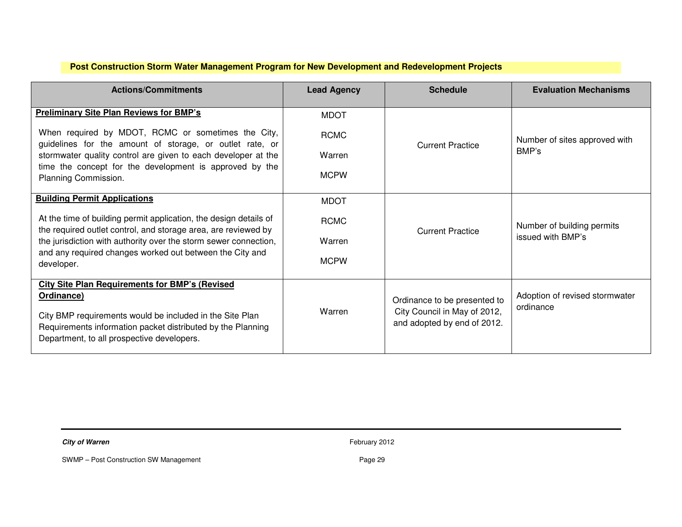# **Post Construction Storm Water Management Program for New Development and Redevelopment Projects**

| <b>Actions/Commitments</b>                                                                                                                                                                                                                   | <b>Lead Agency</b> | <b>Schedule</b>                                                                             | <b>Evaluation Mechanisms</b>                |
|----------------------------------------------------------------------------------------------------------------------------------------------------------------------------------------------------------------------------------------------|--------------------|---------------------------------------------------------------------------------------------|---------------------------------------------|
| <b>Preliminary Site Plan Reviews for BMP's</b>                                                                                                                                                                                               | <b>MDOT</b>        |                                                                                             |                                             |
| When required by MDOT, RCMC or sometimes the City,<br>guidelines for the amount of storage, or outlet rate, or                                                                                                                               | <b>RCMC</b>        | <b>Current Practice</b>                                                                     | Number of sites approved with               |
| stormwater quality control are given to each developer at the                                                                                                                                                                                | Warren             |                                                                                             | BMP's                                       |
| time the concept for the development is approved by the<br>Planning Commission.                                                                                                                                                              | <b>MCPW</b>        |                                                                                             |                                             |
| <b>Building Permit Applications</b>                                                                                                                                                                                                          | <b>MDOT</b>        |                                                                                             |                                             |
| At the time of building permit application, the design details of<br>the required outlet control, and storage area, are reviewed by                                                                                                          | <b>RCMC</b>        | <b>Current Practice</b>                                                                     | Number of building permits                  |
| the jurisdiction with authority over the storm sewer connection,                                                                                                                                                                             | Warren             |                                                                                             | issued with BMP's                           |
| and any required changes worked out between the City and<br>developer.                                                                                                                                                                       | <b>MCPW</b>        |                                                                                             |                                             |
| <b>City Site Plan Requirements for BMP's (Revised</b><br>Ordinance)<br>City BMP requirements would be included in the Site Plan<br>Requirements information packet distributed by the Planning<br>Department, to all prospective developers. | Warren             | Ordinance to be presented to<br>City Council in May of 2012,<br>and adopted by end of 2012. | Adoption of revised stormwater<br>ordinance |

**City of Warren** February 2012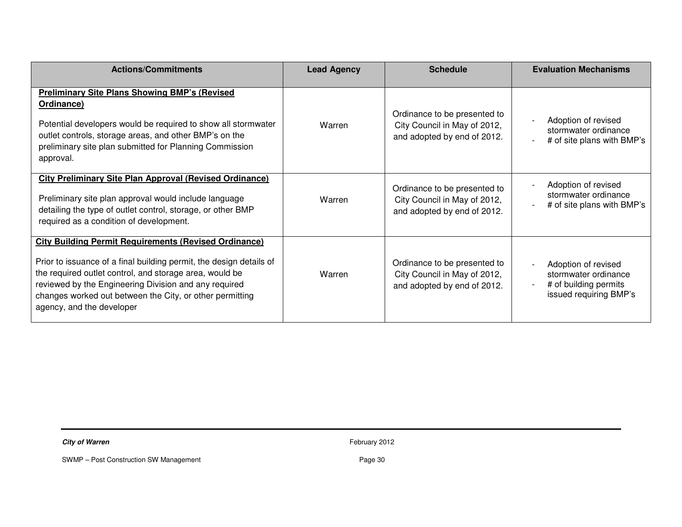| <b>Actions/Commitments</b>                                                                                                                                                                                                                                                                                                                       | <b>Lead Agency</b> | <b>Schedule</b>                                                                             | <b>Evaluation Mechanisms</b>                                                                   |
|--------------------------------------------------------------------------------------------------------------------------------------------------------------------------------------------------------------------------------------------------------------------------------------------------------------------------------------------------|--------------------|---------------------------------------------------------------------------------------------|------------------------------------------------------------------------------------------------|
| <b>Preliminary Site Plans Showing BMP's (Revised)</b><br>Ordinance)<br>Potential developers would be required to show all stormwater<br>outlet controls, storage areas, and other BMP's on the<br>preliminary site plan submitted for Planning Commission<br>approval.                                                                           | Warren             | Ordinance to be presented to<br>City Council in May of 2012,<br>and adopted by end of 2012. | Adoption of revised<br>stormwater ordinance<br># of site plans with BMP's                      |
| <b>City Preliminary Site Plan Approval (Revised Ordinance)</b><br>Preliminary site plan approval would include language<br>detailing the type of outlet control, storage, or other BMP<br>required as a condition of development.                                                                                                                | Warren             | Ordinance to be presented to<br>City Council in May of 2012,<br>and adopted by end of 2012. | Adoption of revised<br>stormwater ordinance<br># of site plans with BMP's                      |
| <b>City Building Permit Requirements (Revised Ordinance)</b><br>Prior to issuance of a final building permit, the design details of<br>the required outlet control, and storage area, would be<br>reviewed by the Engineering Division and any required<br>changes worked out between the City, or other permitting<br>agency, and the developer | Warren             | Ordinance to be presented to<br>City Council in May of 2012,<br>and adopted by end of 2012. | Adoption of revised<br>stormwater ordinance<br># of building permits<br>issued requiring BMP's |

**City of Warren** February 2012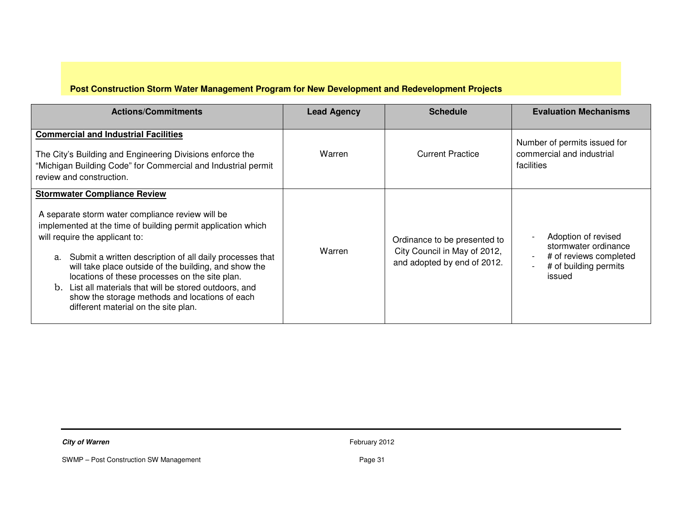# **Post Construction Storm Water Management Program for New Development and Redevelopment Projects**

| <b>Actions/Commitments</b>                                                                                                                                                                                                                                                                                                                                                                                                                                                                                                  | <b>Lead Agency</b> | <b>Schedule</b>                                                                             | <b>Evaluation Mechanisms</b>                                                                             |
|-----------------------------------------------------------------------------------------------------------------------------------------------------------------------------------------------------------------------------------------------------------------------------------------------------------------------------------------------------------------------------------------------------------------------------------------------------------------------------------------------------------------------------|--------------------|---------------------------------------------------------------------------------------------|----------------------------------------------------------------------------------------------------------|
| <b>Commercial and Industrial Facilities</b><br>The City's Building and Engineering Divisions enforce the<br>"Michigan Building Code" for Commercial and Industrial permit<br>review and construction.                                                                                                                                                                                                                                                                                                                       | Warren             | <b>Current Practice</b>                                                                     | Number of permits issued for<br>commercial and industrial<br>facilities                                  |
| <b>Stormwater Compliance Review</b><br>A separate storm water compliance review will be<br>implemented at the time of building permit application which<br>will require the applicant to:<br>Submit a written description of all daily processes that<br>a.<br>will take place outside of the building, and show the<br>locations of these processes on the site plan.<br>b. List all materials that will be stored outdoors, and<br>show the storage methods and locations of each<br>different material on the site plan. | Warren             | Ordinance to be presented to<br>City Council in May of 2012,<br>and adopted by end of 2012. | Adoption of revised<br>stormwater ordinance<br># of reviews completed<br># of building permits<br>issued |

**City of Warren** February 2012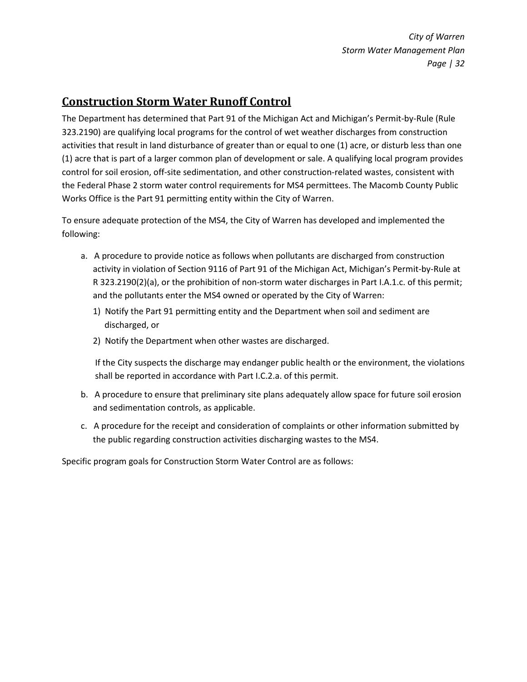# Construction Storm Water Runoff Control

The Department has determined that Part 91 of the Michigan Act and Michigan's Permit-by-Rule (Rule 323.2190) are qualifying local programs for the control of wet weather discharges from construction activities that result in land disturbance of greater than or equal to one (1) acre, or disturb less than one (1) acre that is part of a larger common plan of development or sale. A qualifying local program provides control for soil erosion, off-site sedimentation, and other construction-related wastes, consistent with the Federal Phase 2 storm water control requirements for MS4 permittees. The Macomb County Public Works Office is the Part 91 permitting entity within the City of Warren.

To ensure adequate protection of the MS4, the City of Warren has developed and implemented the following:

- a. A procedure to provide notice as follows when pollutants are discharged from construction activity in violation of Section 9116 of Part 91 of the Michigan Act, Michigan's Permit-by-Rule at R 323.2190(2)(a), or the prohibition of non-storm water discharges in Part I.A.1.c. of this permit; and the pollutants enter the MS4 owned or operated by the City of Warren:
	- 1) Notify the Part 91 permitting entity and the Department when soil and sediment are discharged, or
	- 2) Notify the Department when other wastes are discharged.

If the City suspects the discharge may endanger public health or the environment, the violations shall be reported in accordance with Part I.C.2.a. of this permit.

- b. A procedure to ensure that preliminary site plans adequately allow space for future soil erosion and sedimentation controls, as applicable.
- c. A procedure for the receipt and consideration of complaints or other information submitted by the public regarding construction activities discharging wastes to the MS4.

Specific program goals for Construction Storm Water Control are as follows: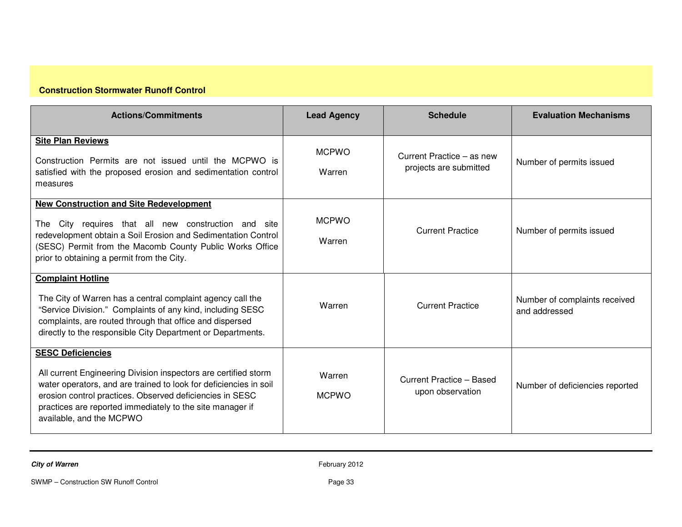# **Construction Stormwater Runoff Control**

| <b>Actions/Commitments</b>                                                                                                                                                                                                                                                                                            | <b>Lead Agency</b>     | <b>Schedule</b>                                     | <b>Evaluation Mechanisms</b>                   |
|-----------------------------------------------------------------------------------------------------------------------------------------------------------------------------------------------------------------------------------------------------------------------------------------------------------------------|------------------------|-----------------------------------------------------|------------------------------------------------|
| <b>Site Plan Reviews</b><br>Construction Permits are not issued until the MCPWO is<br>satisfied with the proposed erosion and sedimentation control<br>measures                                                                                                                                                       | <b>MCPWO</b><br>Warren | Current Practice – as new<br>projects are submitted | Number of permits issued                       |
| <b>New Construction and Site Redevelopment</b><br>City requires that all new construction and site<br>The<br>redevelopment obtain a Soil Erosion and Sedimentation Control<br>(SESC) Permit from the Macomb County Public Works Office<br>prior to obtaining a permit from the City.                                  | <b>MCPWO</b><br>Warren | <b>Current Practice</b>                             | Number of permits issued                       |
| <b>Complaint Hotline</b><br>The City of Warren has a central complaint agency call the<br>"Service Division." Complaints of any kind, including SESC<br>complaints, are routed through that office and dispersed<br>directly to the responsible City Department or Departments.                                       | Warren                 | <b>Current Practice</b>                             | Number of complaints received<br>and addressed |
| <b>SESC Deficiencies</b><br>All current Engineering Division inspectors are certified storm<br>water operators, and are trained to look for deficiencies in soil<br>erosion control practices. Observed deficiencies in SESC<br>practices are reported immediately to the site manager if<br>available, and the MCPWO | Warren<br><b>MCPWO</b> | Current Practice - Based<br>upon observation        | Number of deficiencies reported                |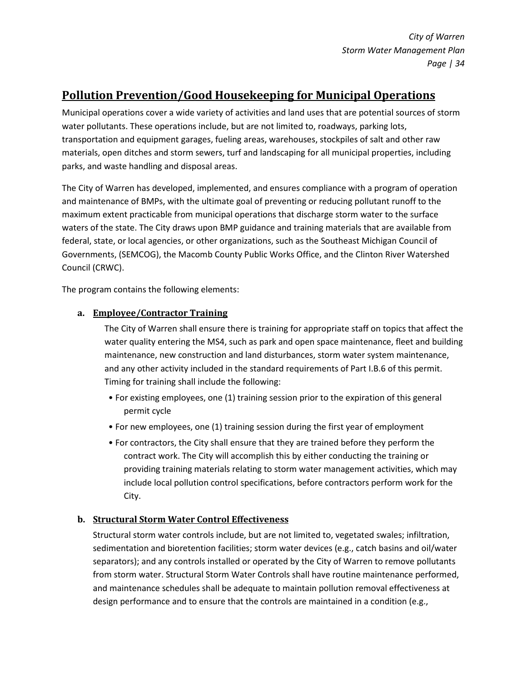# Pollution Prevention/Good Housekeeping for Municipal Operations

Municipal operations cover a wide variety of activities and land uses that are potential sources of storm water pollutants. These operations include, but are not limited to, roadways, parking lots, transportation and equipment garages, fueling areas, warehouses, stockpiles of salt and other raw materials, open ditches and storm sewers, turf and landscaping for all municipal properties, including parks, and waste handling and disposal areas.

The City of Warren has developed, implemented, and ensures compliance with a program of operation and maintenance of BMPs, with the ultimate goal of preventing or reducing pollutant runoff to the maximum extent practicable from municipal operations that discharge storm water to the surface waters of the state. The City draws upon BMP guidance and training materials that are available from federal, state, or local agencies, or other organizations, such as the Southeast Michigan Council of Governments, (SEMCOG), the Macomb County Public Works Office, and the Clinton River Watershed Council (CRWC).

The program contains the following elements:

### a. Employee/Contractor Training

The City of Warren shall ensure there is training for appropriate staff on topics that affect the water quality entering the MS4, such as park and open space maintenance, fleet and building maintenance, new construction and land disturbances, storm water system maintenance, and any other activity included in the standard requirements of Part I.B.6 of this permit. Timing for training shall include the following:

- For existing employees, one (1) training session prior to the expiration of this general permit cycle
- For new employees, one (1) training session during the first year of employment
- For contractors, the City shall ensure that they are trained before they perform the contract work. The City will accomplish this by either conducting the training or providing training materials relating to storm water management activities, which may include local pollution control specifications, before contractors perform work for the City.

### b. Structural Storm Water Control Effectiveness

Structural storm water controls include, but are not limited to, vegetated swales; infiltration, sedimentation and bioretention facilities; storm water devices (e.g., catch basins and oil/water separators); and any controls installed or operated by the City of Warren to remove pollutants from storm water. Structural Storm Water Controls shall have routine maintenance performed, and maintenance schedules shall be adequate to maintain pollution removal effectiveness at design performance and to ensure that the controls are maintained in a condition (e.g.,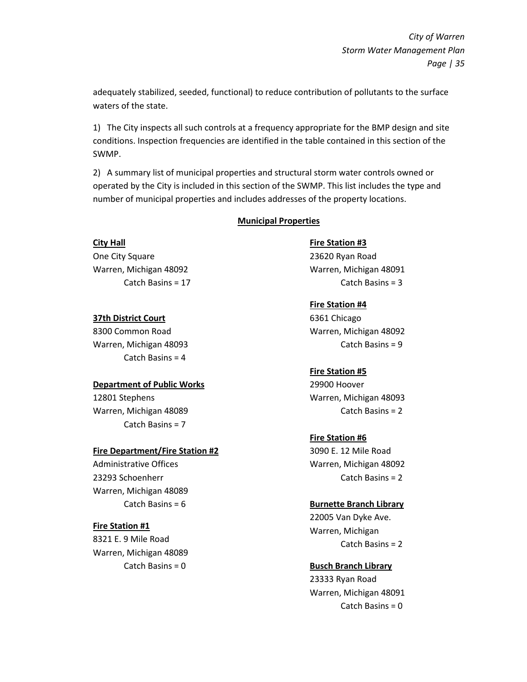adequately stabilized, seeded, functional) to reduce contribution of pollutants to the surface waters of the state.

1) The City inspects all such controls at a frequency appropriate for the BMP design and site conditions. Inspection frequencies are identified in the table contained in this section of the SWMP.

2) A summary list of municipal properties and structural storm water controls owned or operated by the City is included in this section of the SWMP. This list includes the type and number of municipal properties and includes addresses of the property locations.

#### Municipal Properties

City Hall One City Square Warren, Michigan 48092 Catch Basins = 17

#### 37th District Court

8300 Common Road Warren, Michigan 48093 Catch Basins = 4

#### Department of Public Works

12801 Stephens Warren, Michigan 48089 Catch Basins = 7

#### Fire Department/Fire Station #2

Administrative Offices 23293 Schoenherr Warren, Michigan 48089 Catch Basins = 6

#### Fire Station #1

8321 E. 9 Mile Road Warren, Michigan 48089 Catch Basins = 0

Fire Station #3 23620 Ryan Road Warren, Michigan 48091 Catch Basins = 3

#### Fire Station #4

6361 Chicago Warren, Michigan 48092 Catch Basins = 9

#### Fire Station #5

29900 Hoover Warren, Michigan 48093 Catch Basins = 2

# Fire Station #6

3090 E. 12 Mile Road Warren, Michigan 48092 Catch Basins = 2

#### Burnette Branch Library

22005 Van Dyke Ave. Warren, Michigan Catch Basins = 2

# Busch Branch Library

23333 Ryan Road Warren, Michigan 48091 Catch Basins = 0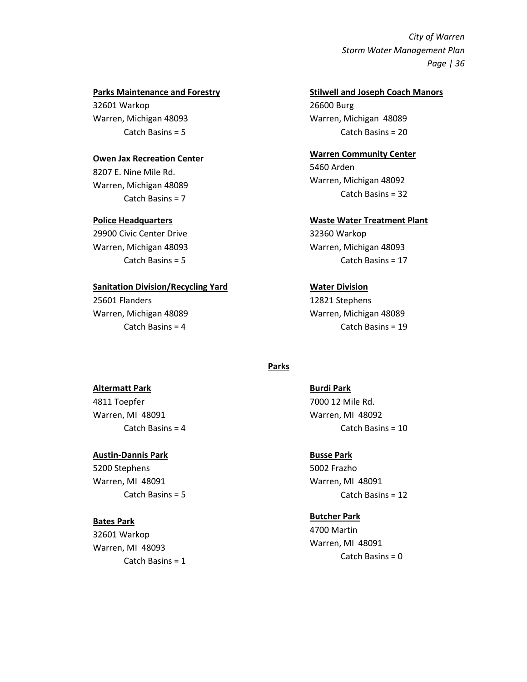#### Parks Maintenance and Forestry

32601 Warkop Warren, Michigan 48093 Catch Basins = 5

#### Owen Jax Recreation Center

8207 E. Nine Mile Rd. Warren, Michigan 48089 Catch Basins = 7

#### Police Headquarters

29900 Civic Center Drive Warren, Michigan 48093 Catch Basins = 5

#### Sanitation Division/Recycling Yard

25601 Flanders Warren, Michigan 48089 Catch Basins = 4

#### Stilwell and Joseph Coach Manors 26600 Burg

Warren, Michigan 48089 Catch Basins = 20

#### Warren Community Center

5460 Arden Warren, Michigan 48092 Catch Basins = 32

#### Waste Water Treatment Plant

32360 Warkop Warren, Michigan 48093 Catch Basins = 17

#### Water Division

12821 Stephens Warren, Michigan 48089 Catch Basins = 19

#### **Parks**

Burdi Park 7000 12 Mile Rd. Warren, MI 48092 Catch Basins = 10

# Busse Park 5002 Frazho Warren, MI 48091 Catch Basins = 12

# Butcher Park 4700 Martin Warren, MI 48091 Catch Basins = 0

# Altermatt Park

4811 Toepfer Warren, MI 48091 Catch Basins = 4

#### Austin-Dannis Park

5200 Stephens Warren, MI 48091 Catch Basins = 5

#### Bates Park

32601 Warkop Warren, MI 48093 Catch Basins = 1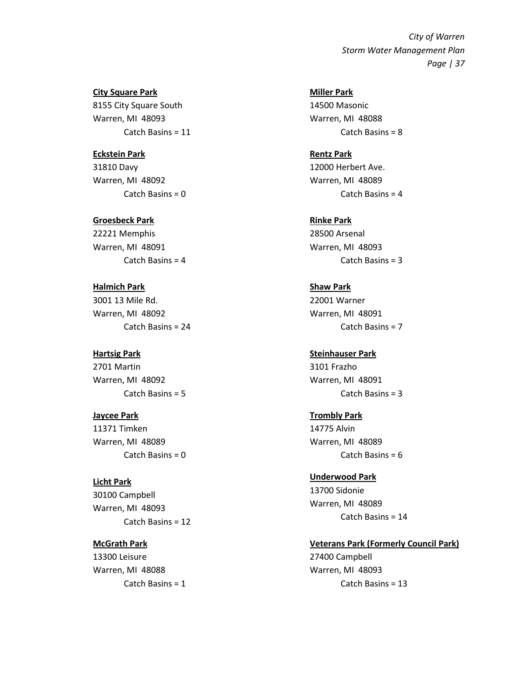City Square Park 8155 City Square South Warren, MI 48093 Catch Basins = 11

#### Eckstein Park

31810 Davy Warren, MI 48092 Catch Basins = 0

Groesbeck Park

22221 Memphis Warren, MI 48091 Catch Basins = 4

Halmich Park 3001 13 Mile Rd. Warren, MI 48092 Catch Basins = 24

#### Hartsig Park

2701 Martin Warren, MI 48092 Catch Basins = 5

#### Jaycee Park

11371 Timken Warren, MI 48089 Catch Basins = 0

Licht Park 30100 Campbell Warren, MI 48093 Catch Basins = 12

McGrath Park 13300 Leisure Warren, MI 48088 Catch Basins = 1 Miller Park 14500 Masonic Warren, MI 48088 Catch Basins = 8

Rentz Park 12000 Herbert Ave. Warren, MI 48089 Catch Basins = 4

Rinke Park 28500 Arsenal Warren, MI 48093 Catch Basins = 3

Shaw Park 22001 Warner Warren, MI 48091 Catch Basins = 7

Steinhauser Park 3101 Frazho Warren, MI 48091 Catch Basins = 3

Trombly Park 14775 Alvin Warren, MI 48089 Catch Basins = 6

Underwood Park 13700 Sidonie Warren, MI 48089 Catch Basins = 14

Veterans Park (Formerly Council Park) 27400 Campbell Warren, MI 48093 Catch Basins = 13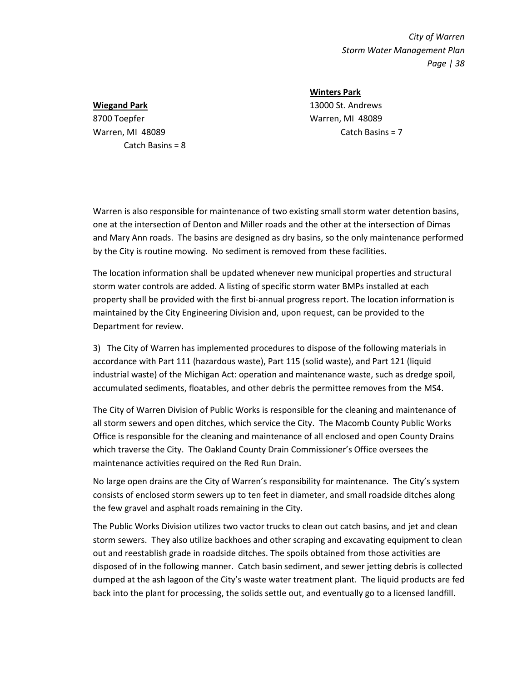#### Wiegand Park

8700 Toepfer Warren, MI 48089 Catch Basins = 8 Winters Park

13000 St. Andrews Warren, MI 48089 Catch Basins = 7

Warren is also responsible for maintenance of two existing small storm water detention basins, one at the intersection of Denton and Miller roads and the other at the intersection of Dimas and Mary Ann roads. The basins are designed as dry basins, so the only maintenance performed by the City is routine mowing. No sediment is removed from these facilities.

The location information shall be updated whenever new municipal properties and structural storm water controls are added. A listing of specific storm water BMPs installed at each property shall be provided with the first bi-annual progress report. The location information is maintained by the City Engineering Division and, upon request, can be provided to the Department for review.

3) The City of Warren has implemented procedures to dispose of the following materials in accordance with Part 111 (hazardous waste), Part 115 (solid waste), and Part 121 (liquid industrial waste) of the Michigan Act: operation and maintenance waste, such as dredge spoil, accumulated sediments, floatables, and other debris the permittee removes from the MS4.

The City of Warren Division of Public Works is responsible for the cleaning and maintenance of all storm sewers and open ditches, which service the City. The Macomb County Public Works Office is responsible for the cleaning and maintenance of all enclosed and open County Drains which traverse the City. The Oakland County Drain Commissioner's Office oversees the maintenance activities required on the Red Run Drain.

No large open drains are the City of Warren's responsibility for maintenance. The City's system consists of enclosed storm sewers up to ten feet in diameter, and small roadside ditches along the few gravel and asphalt roads remaining in the City.

The Public Works Division utilizes two vactor trucks to clean out catch basins, and jet and clean storm sewers. They also utilize backhoes and other scraping and excavating equipment to clean out and reestablish grade in roadside ditches. The spoils obtained from those activities are disposed of in the following manner. Catch basin sediment, and sewer jetting debris is collected dumped at the ash lagoon of the City's waste water treatment plant. The liquid products are fed back into the plant for processing, the solids settle out, and eventually go to a licensed landfill.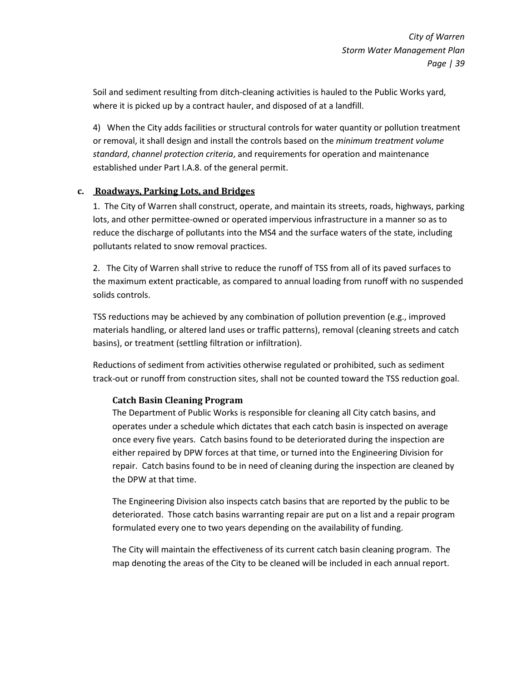Soil and sediment resulting from ditch-cleaning activities is hauled to the Public Works yard, where it is picked up by a contract hauler, and disposed of at a landfill.

4) When the City adds facilities or structural controls for water quantity or pollution treatment or removal, it shall design and install the controls based on the minimum treatment volume standard, channel protection criteria, and requirements for operation and maintenance established under Part I.A.8. of the general permit.

### c. Roadways, Parking Lots, and Bridges

1. The City of Warren shall construct, operate, and maintain its streets, roads, highways, parking lots, and other permittee-owned or operated impervious infrastructure in a manner so as to reduce the discharge of pollutants into the MS4 and the surface waters of the state, including pollutants related to snow removal practices.

2. The City of Warren shall strive to reduce the runoff of TSS from all of its paved surfaces to the maximum extent practicable, as compared to annual loading from runoff with no suspended solids controls.

TSS reductions may be achieved by any combination of pollution prevention (e.g., improved materials handling, or altered land uses or traffic patterns), removal (cleaning streets and catch basins), or treatment (settling filtration or infiltration).

Reductions of sediment from activities otherwise regulated or prohibited, such as sediment track-out or runoff from construction sites, shall not be counted toward the TSS reduction goal.

# Catch Basin Cleaning Program

The Department of Public Works is responsible for cleaning all City catch basins, and operates under a schedule which dictates that each catch basin is inspected on average once every five years. Catch basins found to be deteriorated during the inspection are either repaired by DPW forces at that time, or turned into the Engineering Division for repair. Catch basins found to be in need of cleaning during the inspection are cleaned by the DPW at that time.

The Engineering Division also inspects catch basins that are reported by the public to be deteriorated. Those catch basins warranting repair are put on a list and a repair program formulated every one to two years depending on the availability of funding.

The City will maintain the effectiveness of its current catch basin cleaning program. The map denoting the areas of the City to be cleaned will be included in each annual report.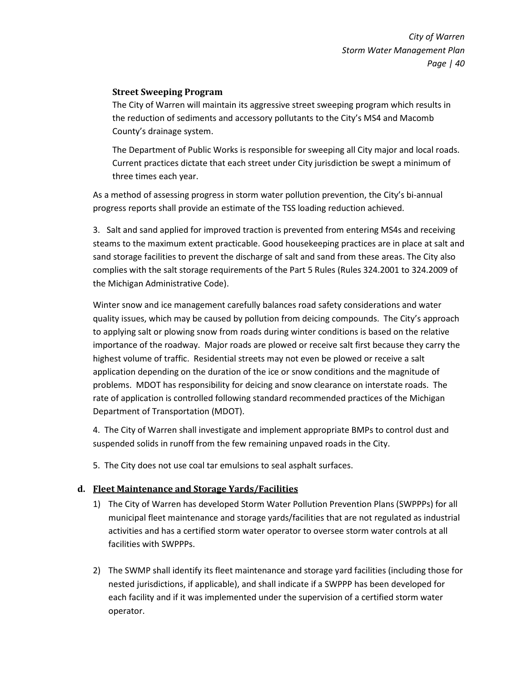### Street Sweeping Program

The City of Warren will maintain its aggressive street sweeping program which results in the reduction of sediments and accessory pollutants to the City's MS4 and Macomb County's drainage system.

The Department of Public Works is responsible for sweeping all City major and local roads. Current practices dictate that each street under City jurisdiction be swept a minimum of three times each year.

As a method of assessing progress in storm water pollution prevention, the City's bi-annual progress reports shall provide an estimate of the TSS loading reduction achieved.

3. Salt and sand applied for improved traction is prevented from entering MS4s and receiving steams to the maximum extent practicable. Good housekeeping practices are in place at salt and sand storage facilities to prevent the discharge of salt and sand from these areas. The City also complies with the salt storage requirements of the Part 5 Rules (Rules 324.2001 to 324.2009 of the Michigan Administrative Code).

Winter snow and ice management carefully balances road safety considerations and water quality issues, which may be caused by pollution from deicing compounds. The City's approach to applying salt or plowing snow from roads during winter conditions is based on the relative importance of the roadway. Major roads are plowed or receive salt first because they carry the highest volume of traffic. Residential streets may not even be plowed or receive a salt application depending on the duration of the ice or snow conditions and the magnitude of problems. MDOT has responsibility for deicing and snow clearance on interstate roads. The rate of application is controlled following standard recommended practices of the Michigan Department of Transportation (MDOT).

4. The City of Warren shall investigate and implement appropriate BMPs to control dust and suspended solids in runoff from the few remaining unpaved roads in the City.

5. The City does not use coal tar emulsions to seal asphalt surfaces.

#### d. Fleet Maintenance and Storage Yards/Facilities

- 1) The City of Warren has developed Storm Water Pollution Prevention Plans (SWPPPs) for all municipal fleet maintenance and storage yards/facilities that are not regulated as industrial activities and has a certified storm water operator to oversee storm water controls at all facilities with SWPPPs.
- 2) The SWMP shall identify its fleet maintenance and storage yard facilities (including those for nested jurisdictions, if applicable), and shall indicate if a SWPPP has been developed for each facility and if it was implemented under the supervision of a certified storm water operator.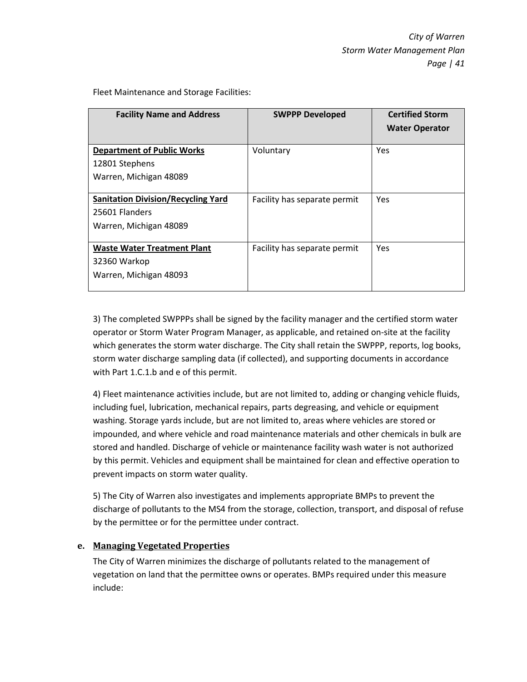Fleet Maintenance and Storage Facilities:

| <b>Facility Name and Address</b>                    | <b>SWPPP Developed</b>       | <b>Certified Storm</b> |
|-----------------------------------------------------|------------------------------|------------------------|
|                                                     |                              | <b>Water Operator</b>  |
| <b>Department of Public Works</b><br>12801 Stephens | Voluntary                    | Yes                    |
| Warren, Michigan 48089                              |                              |                        |
| <b>Sanitation Division/Recycling Yard</b>           | Facility has separate permit | Yes                    |
| 25601 Flanders                                      |                              |                        |
| Warren, Michigan 48089                              |                              |                        |
| <b>Waste Water Treatment Plant</b>                  | Facility has separate permit | Yes                    |
| 32360 Warkop                                        |                              |                        |
| Warren, Michigan 48093                              |                              |                        |

3) The completed SWPPPs shall be signed by the facility manager and the certified storm water operator or Storm Water Program Manager, as applicable, and retained on-site at the facility which generates the storm water discharge. The City shall retain the SWPPP, reports, log books, storm water discharge sampling data (if collected), and supporting documents in accordance with Part 1.C.1.b and e of this permit.

4) Fleet maintenance activities include, but are not limited to, adding or changing vehicle fluids, including fuel, lubrication, mechanical repairs, parts degreasing, and vehicle or equipment washing. Storage yards include, but are not limited to, areas where vehicles are stored or impounded, and where vehicle and road maintenance materials and other chemicals in bulk are stored and handled. Discharge of vehicle or maintenance facility wash water is not authorized by this permit. Vehicles and equipment shall be maintained for clean and effective operation to prevent impacts on storm water quality.

5) The City of Warren also investigates and implements appropriate BMPs to prevent the discharge of pollutants to the MS4 from the storage, collection, transport, and disposal of refuse by the permittee or for the permittee under contract.

### e. Managing Vegetated Properties

The City of Warren minimizes the discharge of pollutants related to the management of vegetation on land that the permittee owns or operates. BMPs required under this measure include: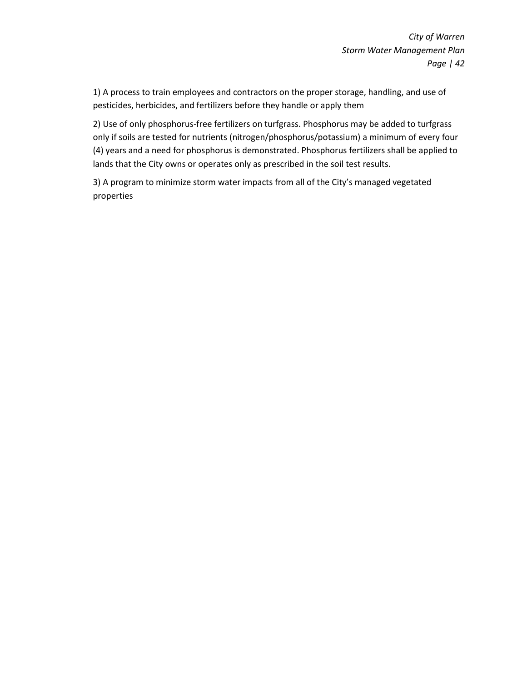1) A process to train employees and contractors on the proper storage, handling, and use of pesticides, herbicides, and fertilizers before they handle or apply them

2) Use of only phosphorus-free fertilizers on turfgrass. Phosphorus may be added to turfgrass only if soils are tested for nutrients (nitrogen/phosphorus/potassium) a minimum of every four (4) years and a need for phosphorus is demonstrated. Phosphorus fertilizers shall be applied to lands that the City owns or operates only as prescribed in the soil test results.

3) A program to minimize storm water impacts from all of the City's managed vegetated properties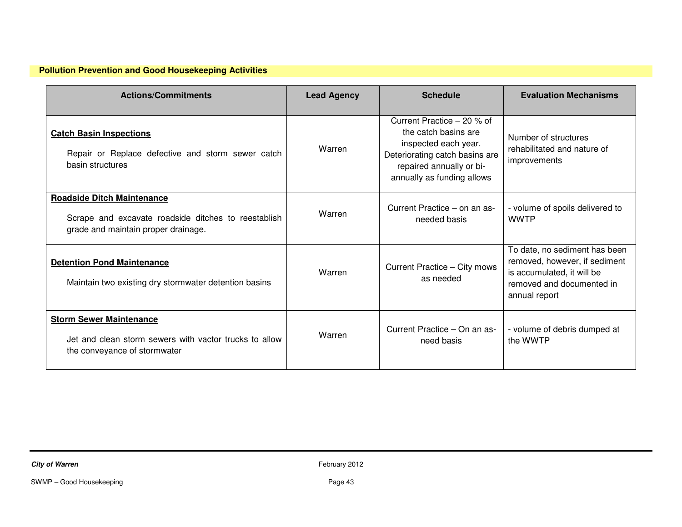| <b>Actions/Commitments</b>                                                                                                      | <b>Lead Agency</b> | <b>Schedule</b>                                                                                                                                                        | <b>Evaluation Mechanisms</b>                                                                                                               |
|---------------------------------------------------------------------------------------------------------------------------------|--------------------|------------------------------------------------------------------------------------------------------------------------------------------------------------------------|--------------------------------------------------------------------------------------------------------------------------------------------|
| <b>Catch Basin Inspections</b><br>Repair or Replace defective and storm sewer catch<br>basin structures                         | Warren             | Current Practice - 20 % of<br>the catch basins are<br>inspected each year.<br>Deteriorating catch basins are<br>repaired annually or bi-<br>annually as funding allows | Number of structures<br>rehabilitated and nature of<br>improvements                                                                        |
| <b>Roadside Ditch Maintenance</b><br>Scrape and excavate roadside ditches to reestablish<br>grade and maintain proper drainage. | Warren             | Current Practice – on an as-<br>needed basis                                                                                                                           | - volume of spoils delivered to<br><b>WWTP</b>                                                                                             |
| <b>Detention Pond Maintenance</b><br>Maintain two existing dry stormwater detention basins                                      | Warren             | Current Practice - City mows<br>as needed                                                                                                                              | To date, no sediment has been<br>removed, however, if sediment<br>is accumulated, it will be<br>removed and documented in<br>annual report |
| <b>Storm Sewer Maintenance</b><br>Jet and clean storm sewers with vactor trucks to allow<br>the conveyance of stormwater        | Warren             | Current Practice - On an as-<br>need basis                                                                                                                             | - volume of debris dumped at<br>the WWTP                                                                                                   |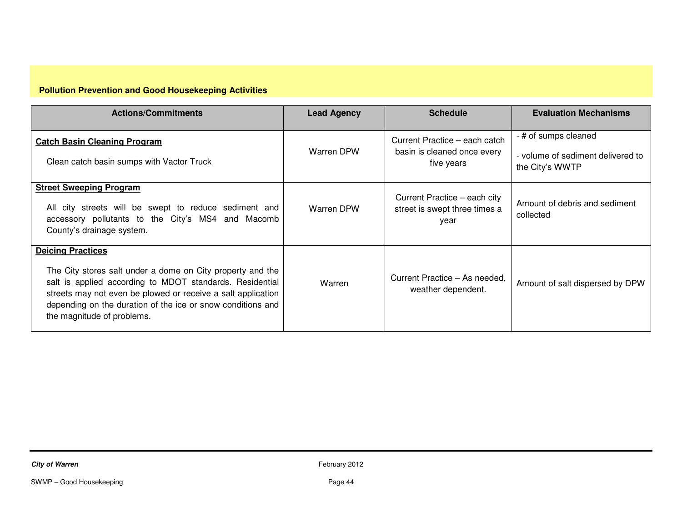| <b>Actions/Commitments</b>                                                                                                                                                                                                                                                                                      | <b>Lead Agency</b> | <b>Schedule</b>                                                            | <b>Evaluation Mechanisms</b>                                                 |
|-----------------------------------------------------------------------------------------------------------------------------------------------------------------------------------------------------------------------------------------------------------------------------------------------------------------|--------------------|----------------------------------------------------------------------------|------------------------------------------------------------------------------|
| <b>Catch Basin Cleaning Program</b><br>Clean catch basin sumps with Vactor Truck                                                                                                                                                                                                                                | Warren DPW         | Current Practice – each catch<br>basin is cleaned once every<br>five years | - # of sumps cleaned<br>- volume of sediment delivered to<br>the City's WWTP |
| <b>Street Sweeping Program</b><br>All city streets will be swept to reduce sediment and<br>accessory pollutants to the City's MS4 and Macomb<br>County's drainage system.                                                                                                                                       | Warren DPW         | Current Practice - each city<br>street is swept three times a<br>year      | Amount of debris and sediment<br>collected                                   |
| <b>Deicing Practices</b><br>The City stores salt under a dome on City property and the<br>salt is applied according to MDOT standards. Residential<br>streets may not even be plowed or receive a salt application<br>depending on the duration of the ice or snow conditions and<br>the magnitude of problems. | Warren             | Current Practice – As needed.<br>weather dependent.                        | Amount of salt dispersed by DPW                                              |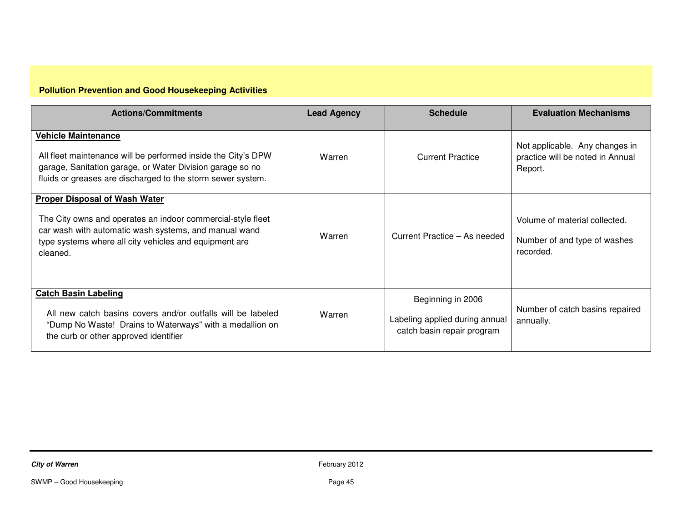| <b>Actions/Commitments</b>                                                                                                                                                                                                         | <b>Lead Agency</b> | <b>Schedule</b>                                                                   | <b>Evaluation Mechanisms</b>                                                  |
|------------------------------------------------------------------------------------------------------------------------------------------------------------------------------------------------------------------------------------|--------------------|-----------------------------------------------------------------------------------|-------------------------------------------------------------------------------|
| <b>Vehicle Maintenance</b><br>All fleet maintenance will be performed inside the City's DPW<br>garage, Sanitation garage, or Water Division garage so no<br>fluids or greases are discharged to the storm sewer system.            | Warren             | <b>Current Practice</b>                                                           | Not applicable. Any changes in<br>practice will be noted in Annual<br>Report. |
| <b>Proper Disposal of Wash Water</b><br>The City owns and operates an indoor commercial-style fleet<br>car wash with automatic wash systems, and manual wand<br>type systems where all city vehicles and equipment are<br>cleaned. | Warren             | Current Practice - As needed                                                      | Volume of material collected.<br>Number of and type of washes<br>recorded.    |
| <b>Catch Basin Labeling</b><br>All new catch basins covers and/or outfalls will be labeled<br>"Dump No Waste! Drains to Waterways" with a medallion on<br>the curb or other approved identifier                                    | Warren             | Beginning in 2006<br>Labeling applied during annual<br>catch basin repair program | Number of catch basins repaired<br>annually.                                  |